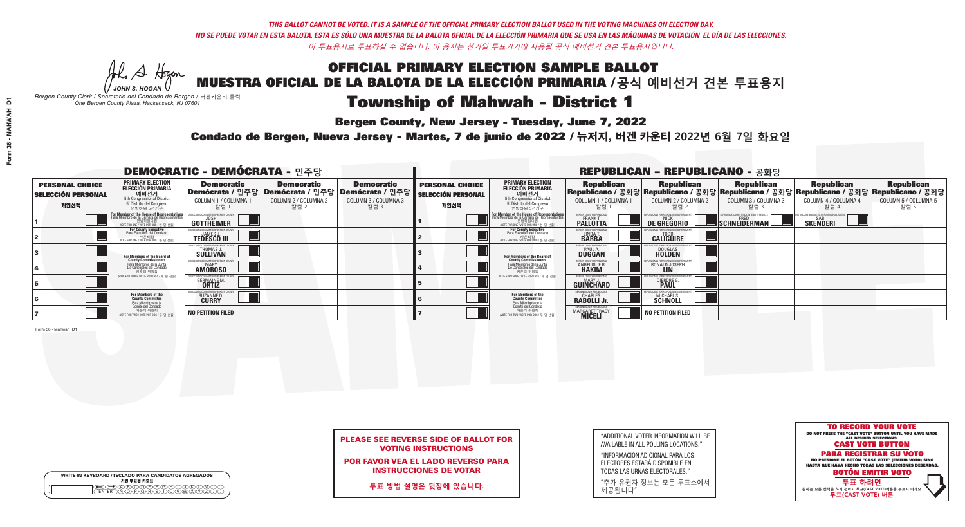W A Hogen *JOHN S. HOGAN*

| <b>WRITE-IN KEYBOARD /TECLADO PARA CANDIDATOS AGREGADOS</b><br>기명 투표용 키보드 |
|---------------------------------------------------------------------------|
| <b>EADAR</b>                                                              |

# **Township of Mahwah - District 1**

**Bergen County, New Jersey - Tuesday, June 7, 2022** 

*Bergen County Clerk / Secretario del Condado de Bergen /* 버겐카운티 클럭 *One Bergen County Plaza, Hackensack, NJ 07601*

Condado de Bergen, Nueva Jersey - Martes, 7 de junio de 2022 / 뉴저지, 버겐 카운티 2022년 6월 7일 화요일 *One Bergen County Plaza, Hackensack, NJ 07601*



## PLEASE SEE REVERSE SIDE OF BALLOT FOR VOTING INSTRUCTIONS

POR FAVOR VEA EL LADO REVERSO PARA INSTRUCCIONES DE VOTAR

**투표 방법 설명은 뒷장에 있습니다.**

"ADDITIONAL VOTER INFORMATION WILL BE AVAILABLE IN ALL POLLING LOCATIONS."

"INFORMACIÓN ADICIONAL PARA LOS ELECTORES ESTARÁ DISPONIBLE EN TODAS LAS URNAS ELECTORALES."

"추가 유권자 정보는 모든 투표소에서 제공됩니다"

|                                                             |                                                                                                                                               | <b>DEMOCRATIC - DEMÓCRATA - 민주당</b>                                          |                                                                                          |                                                                        | <b>REPUBLICAN - REPUBLICANO - 공화당</b>                       |                                                                                                                                                  |                                                                         |                                                                                                                                                 |                                                   |                                                                           |                                                   |
|-------------------------------------------------------------|-----------------------------------------------------------------------------------------------------------------------------------------------|------------------------------------------------------------------------------|------------------------------------------------------------------------------------------|------------------------------------------------------------------------|-------------------------------------------------------------|--------------------------------------------------------------------------------------------------------------------------------------------------|-------------------------------------------------------------------------|-------------------------------------------------------------------------------------------------------------------------------------------------|---------------------------------------------------|---------------------------------------------------------------------------|---------------------------------------------------|
| <b>PERSONAL CHOICE</b><br><b>SELECCIÓN PERSONAL</b><br>개인선택 | <b>PRIMARY ELECTION</b><br>ELECCIÓN PRIMARIA<br>에비선거<br>5th Congressional District<br>5 <sup>t</sup> Distrito del Congreso<br>연방하원 5선거구       | <b>Democratic</b><br>COLUMN 1 / COLUMNA 1<br>_ 칼럼 1                          | <b>Democratic</b><br>Demócrata / 민주당   Demócrata / 민주당  <br>COLUMN 2 / COLUMNA 2<br>칼럼 2 | <b>Democratic</b><br>│Demócrata / 민주당│<br>COLUMN 3 / COLUMNA 3<br>칼럼 3 | <b>PERSONAL CHOICE</b><br><b>SELECCIÓN PERSONAL</b><br>개인선택 | <b>PRIMARY ELECTION</b><br><b>ELECCIÓN PRIMARIA</b><br>예비선거<br>5th Congressional District<br>5 Distrito del Congreso<br>연방하원 5선거구                | <b>Republican</b><br>COLUMN 1 / COLUMNA 1<br>.칼럼 :                      | <b>Republican</b><br>Republicano / 공화당 Republicano / 공화당 Republicano / 공화당 Republicano / 공화당 Republicano / 공화당<br>COLUMN 2 / COLUMNA 2<br>·칼럼 2 | <b>Republican</b><br>COLUMN 3 / COLUMNA 3<br>칼럼 3 | <b>Republican</b><br>COLUMN 4 / COLUMNA 4<br>칼럼 4                         | <b>Republican</b><br>COLUMN 5 / COLUMNA 5<br>칼럼 5 |
|                                                             | For Member of the House of Representatives<br>Para Miembro de la Cámara de Representantes<br>연방하원의원<br>(VOTE FOR ONE / VOTE POR UNO / 한 명 선출) | EMOCRATIC COMMITTEE OF BERGEN C<br>GOTTHËIMER                                |                                                                                          |                                                                        |                                                             | F <mark>or Member of the House of Representatives</mark><br>Para Miembro de la Cámara de Representantes<br>NOTE FOR ONE / VOTE POR UNO / 한 명 선출) | BERGEN COUNTY REPUBLICAN<br><b>FRANK T.</b><br><b>PALLOTTA</b>          | <b>DE GREGORIO</b>                                                                                                                              | SCHNEIDERMAN                                      | ) VACCINE MANDATES. DEPORT II LEGAL ALIE<br><b>SAB</b><br><b>SKENDERI</b> |                                                   |
|                                                             | For County Executive<br>Para Ejecutivo del Condado<br>. 카운티장<br>/OTE FOR ONE /VOTE POR UNO / 한 명 선출)                                          | JEMOCRATIC COMMITTEE OF BERGEN COUNT<br><b>JAMES J</b><br><b>TEDESCO III</b> |                                                                                          |                                                                        |                                                             | For County Executive<br>Para Ejecutivo del Condado<br>. 카운티장<br>(VOTE FOR ONE / VOTE POR UNO / 한 명 선출)                                           | BERGEN COUNTY REPUBLICAN<br>LINDA T.<br><b>BARBA</b>                    | <b>CALIGUIRE</b>                                                                                                                                |                                                   |                                                                           |                                                   |
|                                                             | For Members of the Board of<br>County Commissioners                                                                                           | <b>THOMAS J.</b><br><b>SULLIVAN</b>                                          |                                                                                          |                                                                        |                                                             | <b>For Members of the Board of</b><br>County Commissioners                                                                                       | BERGEN COUNTY REPUBLICAN<br><b>PAUL A.</b><br><b>DUGGAN</b>             | <b>DOUGLAS</b>                                                                                                                                  |                                                   |                                                                           |                                                   |
|                                                             | Para Miembros de la Junta<br>De Concejales del Condado<br>카우티 위원들                                                                             | RATIC COMMITTEE OF BERGEN COUNT<br><b>MARY</b><br><b>AMOROSO</b>             |                                                                                          |                                                                        |                                                             | Para Miembros de la Junta<br>De Concejales del Condado<br>카운티 위원들                                                                                | <b>FRGEN COUNTY REPUBLICAN</b><br><b>ANGELIQUE R</b>                    | RONALD JOSEPH                                                                                                                                   |                                                   |                                                                           |                                                   |
|                                                             | NOTE FOR THREE / VOTE POR TRES / 세 명 선출)                                                                                                      | <b>GERMAINE M</b><br><b>ORTIZ</b>                                            |                                                                                          |                                                                        |                                                             | (VOTE FOR THREE / VOTE POR TRES / 세 명 선출)                                                                                                        | ERGEN COUNTY REPUBLICA<br>MARY.<br><b>GUINCHARD</b>                     | <b>DIERDRE</b>                                                                                                                                  |                                                   |                                                                           |                                                   |
|                                                             | For Members of the<br>County Committee<br>Para Miembros de la<br>Comité del Condado                                                           | )CRATIC COMMITTEE OF BERGEN COUN<br>SUZANNE D<br>CURRY                       |                                                                                          |                                                                        |                                                             | For Members of the<br>County Committee<br>Para Miembros de la<br>Comité del Condado                                                              | BERGEN COUNTY REPUBLICANS<br>CHARLES<br>RABOLLI Jr.                     | MICHAEL S.<br><b>SCHNOLL</b>                                                                                                                    |                                                   |                                                                           |                                                   |
|                                                             | 카운티 위원회<br>NOTE FOR TWO / VOTE POR DOS / 두 명 선출)                                                                                              | <b>NO PETITION FILED</b>                                                     |                                                                                          |                                                                        |                                                             | 카운티 위원회<br>NOTE FOR TWO / VOTE POR DOS / 두 명 선출)                                                                                                 | <b>RGEN COUNTY REPUBLICAN</b><br><b>MARGARET TRACY</b><br><b>MICELI</b> | <b>NO PETITION FILED</b>                                                                                                                        |                                                   |                                                                           |                                                   |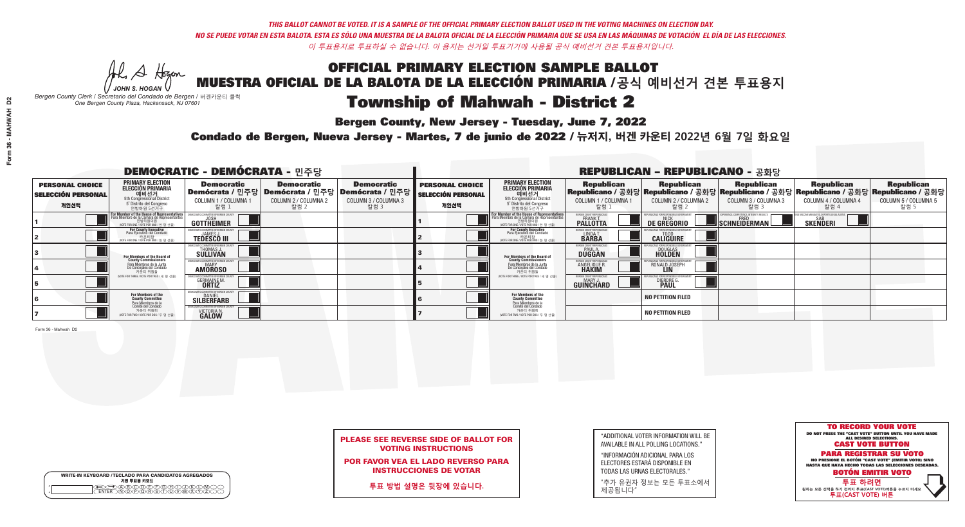Al Stogan *JOHN S. HOGAN*

| <b>WRITE-IN KEYBOARD /TECLADO PARA CANDIDATOS AGREGADOS</b><br>기명 투표용 키보드 |
|---------------------------------------------------------------------------|
|                                                                           |

# **Township of Mahwah - District 2**

**Bergen County, New Jersey - Tuesday, June 7, 2022** 

*Bergen County Clerk / Secretario del Condado de Bergen /* 버겐카운티 클럭 *One Bergen County Plaza, Hackensack, NJ 07601*

Condado de Bergen, Nueva Jersey - Martes, 7 de junio de 2022 / 뉴저지, 버겐 카운티 2022년 6월 7일 화요일 *One Bergen County Plaza, Hackensack, NJ 07601*



## PLEASE SEE REVERSE SIDE OF BALLOT FOR VOTING INSTRUCTIONS

POR FAVOR VEA EL LADO REVERSO PARA INSTRUCCIONES DE VOTAR

**투표 방법 설명은 뒷장에 있습니다.**

| "ADDITIONAL VOTER INFORMATION WILL BE |
|---------------------------------------|
| AVAILABLE IN ALL POLLING LOCATIONS."  |
|                                       |

"INFORMACIÓN ADICIONAL PARA LOS ELECTORES ESTARÁ DISPONIBLE EN TODAS LAS URNAS ELECTORALES."

"추가 유권자 정보는 모든 투표소에서 제공됩니다"

|                                                             |                                                                                                                                               | <b>DEMOCRATIC - DEMÓCRATA - 민주당</b>                                   |                                                                                          |                                                                      | <b>REPUBLICAN - REPUBLICANO - 공화당</b>                       |                                                                                                                                         |                                                        |                                                    |                                                   |                                                                                                                                                |                                                   |  |
|-------------------------------------------------------------|-----------------------------------------------------------------------------------------------------------------------------------------------|-----------------------------------------------------------------------|------------------------------------------------------------------------------------------|----------------------------------------------------------------------|-------------------------------------------------------------|-----------------------------------------------------------------------------------------------------------------------------------------|--------------------------------------------------------|----------------------------------------------------|---------------------------------------------------|------------------------------------------------------------------------------------------------------------------------------------------------|---------------------------------------------------|--|
| <b>PERSONAL CHOICE</b><br><b>SELECCIÓN PERSONAL</b><br>개인선택 | PRIMARY ELECTION<br>ELECCIÓN PRIMARIA<br>에비선거<br>5th Congressional District<br>5 <sup>*</sup> Distrito del Congreso<br>연방하원 5선거구              | <b>Democratic</b><br>COLUMN 1 / COLUMNA<br>칼럼 1                       | <b>Democratic</b><br>Demócrata / 민주당   Demócrata / 민주당  <br>COLUMN 2 / COLUMNA 2<br>칼럼 2 | <b>Democratic</b><br>Demócrata / 민주당<br>COLUMN 3 / COLUMNA 3<br>칼럼 3 | <b>PERSONAL CHOICE</b><br><b>SELECCIÓN PERSONAL</b><br>개인선택 | <b>PRIMARY ELECTION</b><br><b>ELECCIÓN PRIMARIA</b><br>예비선거<br>5th Congressional District<br>5 Distrito del Congreso<br>연방하원 5선거구       | <b>Republican</b><br>COLUMN 1 / COLUMNA 1<br>칼럼        | <b>Republican</b><br>COLUMN 2 / COLUMNA 2<br>-칼럼 2 | <b>Republican</b><br>COLUMN 3 / COLUMNA 3<br>칼럼 3 | <b>Republican</b><br>Republicano / 공화당 Republicano / 공화당 Republicano / 공화당 Republicano / 공화당 Republicano / 공화당<br>COLUMN 4 / COLUMNA 4<br>칼럼 4 | <b>Republican</b><br>COLUMN 5 / COLUMNA 5<br>칼럼 5 |  |
|                                                             | For Member of the House of Representatives<br>Para Miembro de la Cámara de Representantes<br>연방하원의원<br>(VOTE FOR ONE / VOTE POR UNO / 한 명 선출) | GOTTHEIMER                                                            |                                                                                          |                                                                      |                                                             | <b>For Member of the House of Representative</b><br>Para Miembro de la Cámara de Representante<br>(VOTE FOR ONE / VOTE POR UNO / 한 명 선출 | ERGEN COUNTY REPUBLICAN<br><b>PALLOTTA</b>             | DE GREGORIO                                        | SCHNEIDERMAN                                      | <b>SKENDERI</b>                                                                                                                                |                                                   |  |
|                                                             | For County Executive<br>Para Ejecutivo del Condado<br>/OTE FOR ONE / VOTE POR UNO / 한 명 선출)                                                   | <b>TEDESCO III</b>                                                    |                                                                                          |                                                                      |                                                             | For County Executive<br>Para Ejecutivo del Condado<br>7) 카운티장<br>(VOTE FOR ONE / VOTE POR UNO / 한 명 선출)                                 | BERGEN COUNTY REPUBLICAN<br>LINDA T.                   | <b>CALIGUIRE</b>                                   |                                                   |                                                                                                                                                |                                                   |  |
|                                                             | For Members of the Board of<br>County Commissioners                                                                                           | MOCRATIC COMMITTEE OF BERGEN (<br>THOMAS J.<br>SULLIVAN               |                                                                                          |                                                                      |                                                             | <b>For Members of the Board of County Commissioners</b>                                                                                 | <b>SERGEN COUNTY REPUBLICAN<br/>PAUL A.<br/>DUGGAN</b> | <b>DOUGLAS</b>                                     |                                                   |                                                                                                                                                |                                                   |  |
|                                                             | Para Miembros de la Junta<br>De Concejales del Condado<br>카운티 위원들                                                                             | ATIC COMMITTEE OF BERGEN CO<br><b>AMOROSO</b>                         |                                                                                          |                                                                      |                                                             | Para Miembros de la Junta<br>De Concejales del Condado<br>카운티 위원들                                                                       | 'ERGEN COUNTY REPUBLICAN<br>ANGELIQUE R                | RONALD JOSEPH                                      |                                                   |                                                                                                                                                |                                                   |  |
|                                                             | (VOTE FOR THREE / VOTE POR TRES / 세 명 선출)                                                                                                     | <b>GERMAINE M.</b>                                                    |                                                                                          |                                                                      |                                                             | (VOTE FOR THREE / VOTE POR TRES / 세 명 선출)                                                                                               | ERGEN COUNTY REPUBLICAN<br>MARY J.<br><b>GUINCHARD</b> | <b>DIERDRE L</b>                                   |                                                   |                                                                                                                                                |                                                   |  |
|                                                             | For Members of the<br>County Committee<br>Para Miembros de la                                                                                 | MOCRATIC COMMITTEE OF BERGEN (<br><b>SILBERFARB</b>                   |                                                                                          |                                                                      |                                                             | <b>For Members of the<br/>County Committee</b>                                                                                          |                                                        | <b>NO PETITION FILED</b>                           |                                                   |                                                                                                                                                |                                                   |  |
|                                                             | Comité del Condado<br>카운티 위원회<br>(VOTE FOR TWO / VOTE POR DOS / 두 명 선출)                                                                       | FMOCRATIC COMMITTEF OF BERGEN (<br><b>VICTORIA N.</b><br><b>GALOW</b> |                                                                                          |                                                                      |                                                             | Para Miembros de la<br>Comité del Condado<br>카운티 위원회<br>NOTE FOR TWO / VOTE POR DOS / 두 명 선출)                                           |                                                        | <b>NO PETITION FILED</b>                           |                                                   |                                                                                                                                                |                                                   |  |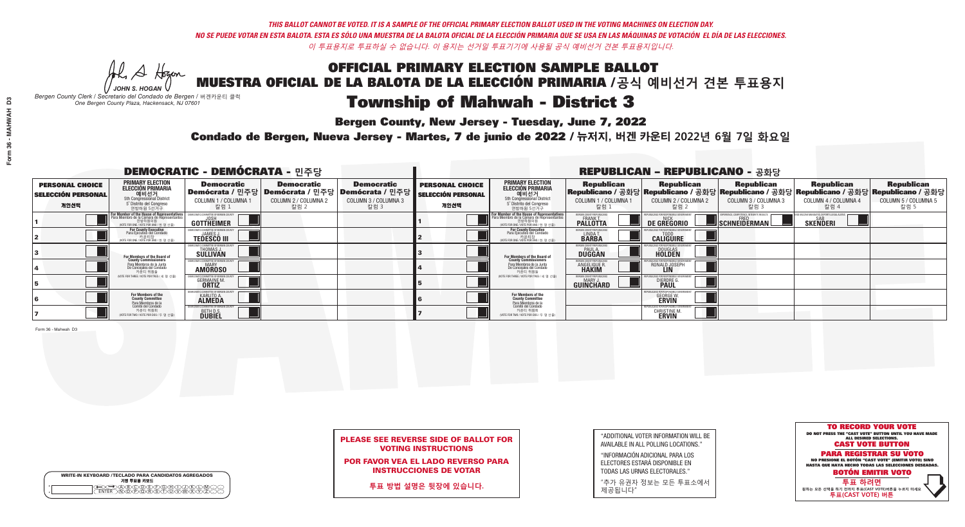He A Hogan *JOHN S. HOGAN*

| <b>WRITE-IN KEYBOARD /TECLADO PARA CANDIDATOS AGREGADOS</b><br>기명 투표용 키보드 |
|---------------------------------------------------------------------------|
|                                                                           |

# **Township of Mahwah - District 3**

**Bergen County, New Jersey - Tuesday, June 7, 2022** 

*Bergen County Clerk / Secretario del Condado de Bergen /* 버겐카운티 클럭 *One Bergen County Plaza, Hackensack, NJ 07601*



## PLEASE SEE REVERSE SIDE OF BALLOT FOR VOTING INSTRUCTIONS

POR FAVOR VEA EL LADO REVERSO PARA INSTRUCCIONES DE VOTAR

**투표 방법 설명은 뒷장에 있습니다.**

"ADDITIONAL VOTER INFORMATION WILL BE AVAILABLE IN ALL POLLING LOCATIONS."

"INFORMACIÓN ADICIONAL PARA LOS ELECTORES ESTARÁ DISPONIBLE EN TODAS LAS URNAS ELECTORALES."

"추가 유권자 정보는 모든 투표소에서 제공됩니다"

Condado de Bergen, Nueva Jersey - Martes, 7 de junio de 2022 / 뉴저지, 버겐 카운티 2022년 6월 7일 화요일 *One Bergen County Plaza, Hackensack, NJ 07601*

|                                                             |                                                                                                                                         | <b>DEMOCRATIC - DEMÓCRATA - 민주당</b>                              |                                                   |                                                                                                        | <b>REPUBLICAN - REPUBLICANO - 공화당</b>                       |                                                                                                                                                 |                                                                      |                                                                       |                                                   |                                                                                                                                                |                                                   |
|-------------------------------------------------------------|-----------------------------------------------------------------------------------------------------------------------------------------|------------------------------------------------------------------|---------------------------------------------------|--------------------------------------------------------------------------------------------------------|-------------------------------------------------------------|-------------------------------------------------------------------------------------------------------------------------------------------------|----------------------------------------------------------------------|-----------------------------------------------------------------------|---------------------------------------------------|------------------------------------------------------------------------------------------------------------------------------------------------|---------------------------------------------------|
| <b>PERSONAL CHOICE</b><br><b>SELECCIÓN PERSONAL</b><br>개인선택 | <b>PRIMARY ELECTION</b><br>ELECCIÓN PRIMARIA<br>예비선거<br>5th Congressional District<br>5° Distrito del Congreso<br>연방하원 5선거구             | <b>Democratic</b><br>COLUMN 1 / COLUMNA 1<br>_ 칼럼 1              | <b>Democratic</b><br>COLUMN 2 / COLUMNA 2<br>칼럼 2 | <b>Democratic</b><br>│Demócrata / 민주당│Demócrata / 민주당│Demócrata / 민주당│<br>COLUMN 3 / COLUMNA 3<br>칼럼 3 | <b>PERSONAL CHOICE</b><br><b>SELECCIÓN PERSONAL</b><br>개인선택 | <b>PRIMARY ELECTION</b><br>ELECCIÓN PRIMARIA<br>5th Congressional District<br>5° Distrito del Congreso<br>연방하원 5선거구                             | <b>Republican</b><br>COLUMN 1 / COLUMNA 1<br>- 칼럼 :                  | <b>Republican</b><br>COLUMN 2 / COLUMNA 2<br>-칼럼 2                    | <b>Republican</b><br>COLUMN 3 / COLUMNA 3<br>칼럼 3 | <b>Republican</b><br>Republicano / 공화당 Republicano / 공화당 Republicano / 공화당 Republicano / 공화당 Republicano / 공화당<br>COLUMN 4 / COLUMNA 4<br>칼럼 4 | <b>Republican</b><br>COLUMN 5 / COLUMNA 5<br>칼럼 5 |
|                                                             | For Member of the House of Representatives<br>Para Miembro de la Cámara de Representantes<br><br>(VOTE FOR ONE / VOTE POR UNO / 한 명 선출) | COMMITTEE OF BERGEN C<br><b>GOTTHEIMER</b>                       |                                                   |                                                                                                        |                                                             | F <mark>or Member of the House of Representatives</mark><br>Para Miembro de la Cámara de Representantes<br>WOTE FOR ONE / VOTE POR UNO / 한 명 선출 | BERGEN COUNTY REPUBLICAN<br><b>PALLOTTA</b>                          | DE GREGORIO                                                           | SCHNEIDERMAN                                      | <b>SAR</b><br>SKEÑDERI                                                                                                                         |                                                   |
|                                                             | For County Executive<br>Para Ejecutivo del Condado<br>/OTE FOR ONE / VOTE POR UNO / 한 명 선출)                                             | FMOCRATIC COMMITTEE OF BERGEN C<br><b>TEDESCO III</b>            |                                                   |                                                                                                        |                                                             | For County Executive<br>Para Ejecutivo del Condado<br>7 카운티장<br>(VOTE FOR ONE / VOTE POR UNO / 한 명 선출)                                          | BERGEN COUNTY REPUBLICAL<br>LINDAT.                                  | <b>CALIGUIRE</b>                                                      |                                                   |                                                                                                                                                |                                                   |
|                                                             | For Members of the Board of<br>County Commissioners                                                                                     | THOMAS J.                                                        |                                                   |                                                                                                        |                                                             | For Members of the Board of<br>County Commissioners                                                                                             | BERGEN COUNTY REPUBLICAL<br><b>PAUL A.</b><br><b>DUGGAN</b>          | <b>DOUGLAS</b>                                                        |                                                   |                                                                                                                                                |                                                   |
|                                                             | Para Miembros de la Junta<br>De Conceiales del Condado<br>카운티 위원들                                                                       | TIC COMMITTEE OF BERGEN COUNT<br><b>AMOROSO</b>                  |                                                   |                                                                                                        |                                                             | Para Miembros de la Junta<br>De Concejales del Condado<br>카운티 위원들                                                                               | <b>ERGEN COUNTY REPUBLICAN</b><br><b>ANGELIQUE R</b><br><b>HAKIM</b> | RONALD JOSEPH<br><b>LIN</b>                                           |                                                   |                                                                                                                                                |                                                   |
|                                                             | NOTE FOR THREE / VOTE POR TRES / 세 명 선출)                                                                                                | <b>GERMAINE M</b><br><b>ORTIZ</b>                                |                                                   |                                                                                                        |                                                             | (VOTE FOR THREE / VOTE POR TRES / 세 명 선출)                                                                                                       | BERGEN COUNTY REPUBLICANS<br><b>MARY J</b><br>GUINCHARD              | DIERDRE                                                               |                                                   |                                                                                                                                                |                                                   |
|                                                             | For Members of the<br>County Committee<br>Para Miembros de la                                                                           | OCRATIC COMMITTEE OF BERGE<br><b>KARLITO A.</b><br><b>ALMEDA</b> |                                                   |                                                                                                        |                                                             | For Members of the<br>County Committee                                                                                                          |                                                                      | <b>GEORGE W.</b><br><b>ERVIN</b>                                      |                                                   |                                                                                                                                                |                                                   |
|                                                             | Comité del Condado<br>카운티 위원회<br>(VOTE FOR TWO / VOTE POR DOS / 두 명 선출)                                                                 | CRATIC COMMITTEE OF BERGEN C<br><b>BETH D.S.</b>                 |                                                   |                                                                                                        |                                                             | Para Miembros de la<br>Comité del Condado<br>카운티 위원회<br>NOTE FOR TWO / VOTE POR DOS / 두 명 선출)                                                   |                                                                      | REPUBLICANS FOR RESPONSIBLE GI<br><b>CHRISTINE M.</b><br><b>ERVIN</b> |                                                   |                                                                                                                                                |                                                   |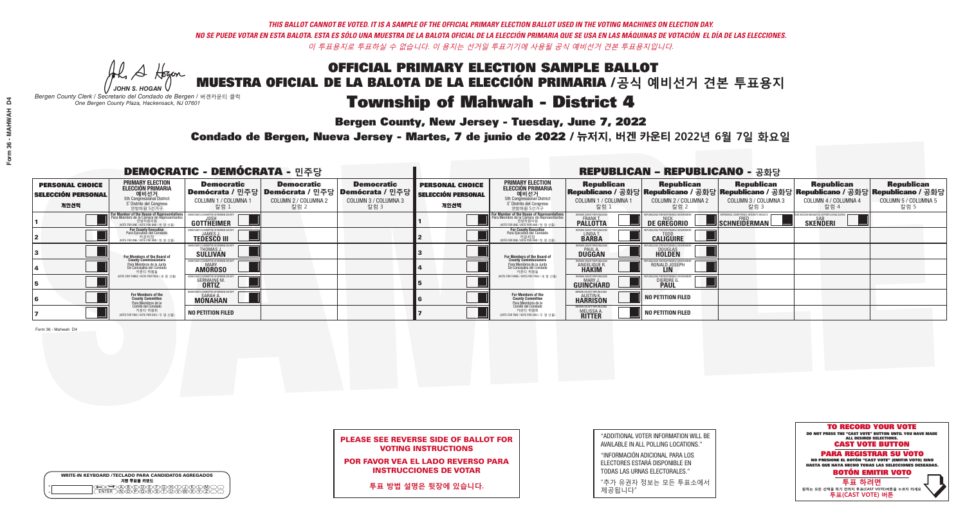W A Hogen *JOHN S. HOGAN*

# Township of Mahwah - District 4

**Bergen County, New Jersey - Tuesday, June 7, 2022** 

*Bergen County Clerk / Secretario del Condado de Bergen /* 버겐카운티 클럭 *One Bergen County Plaza, Hackensack, NJ 07601*

Condado de Bergen, Nueva Jersey - Martes, 7 de junio de 2022 / 뉴저지, 버겐 카운티 2022년 6월 7일 화요일 *One Bergen County Plaza, Hackensack, NJ 07601*



## PLEASE SEE REVERSE SIDE OF BALLOT FOR VOTING INSTRUCTIONS

POR FAVOR VEA EL LADO REVERSO PARA INSTRUCCIONES DE VOTAR

**투표 방법 설명은 뒷장에 있습니다.**

WRITE-IN KEYBOARD /TECLADO PARA CANDIDATOS AGREGADOS<br>기명 투표용 키보드  $\bigoplus \bigoplus \mathbb{A} \oplus \mathbb{C} \oplus \mathbb{C} \oplus \mathbb{C} \oplus \mathbb{C} \oplus \mathbb{C} \cup \mathbb{W} \oplus \mathbb{Z} \oplus \mathbb{Z} \oplus \mathbb{C}$ 

"ADDITIONAL VOTER INFORMATION WILL BE AVAILABLE IN ALL POLLING LOCATIONS."

"INFORMACIÓN ADICIONAL PARA LOS ELECTORES ESTARÁ DISPONIBLE EN TODAS LAS URNAS ELECTORALES."

"추가 유권자 정보는 모든 투표소에서 제공됩니다"

|                                                             |                                                                                                                                               | <b>DEMOCRATIC - DEMÓCRATA - 민주당</b>                                   |                                                   |                                                                                                              | <b>REPUBLICAN - REPUBLICANO - 공화당</b>                       |                                                                                                                                    |                                                                |                                                    |                                                   |                                                                                                                                                |                                                   |  |
|-------------------------------------------------------------|-----------------------------------------------------------------------------------------------------------------------------------------------|-----------------------------------------------------------------------|---------------------------------------------------|--------------------------------------------------------------------------------------------------------------|-------------------------------------------------------------|------------------------------------------------------------------------------------------------------------------------------------|----------------------------------------------------------------|----------------------------------------------------|---------------------------------------------------|------------------------------------------------------------------------------------------------------------------------------------------------|---------------------------------------------------|--|
| <b>PERSONAL CHOICE</b><br><b>SELECCIÓN PERSONAL</b><br>개인선택 | PRIMARY ELECTION<br><b>ELECCIÓN PRIMARIA</b><br>5th Congressional District<br>5 <sup>°</sup> Distrito del Congreso<br>연방하원 5선거구               | <b>Democratic</b><br>COLUMN 1 / COLUMNA 1<br>_ 칼럼 1                   | <b>Democratic</b><br>COLUMN 2 / COLUMNA 2<br>칼럼 2 | <b>Democratic</b><br>  Demócrata / 민주당   Demócrata / 민주당   Demócrata / 민주당  <br>COLUMN 3 / COLUMNA 3<br>칼럼 3 | <b>PERSONAL CHOICE</b><br><b>SELECCIÓN PERSONAL</b><br>개인선택 | <b>PRIMARY ELECTION</b><br><b>ELECCIÓN PRIMARIA</b><br>예비선거<br>5th Congressional District<br>5 Distrito del Congreso<br>연방하원 5선거구  | <b>Republican</b><br>COLUMN 1 / COLUMNA 1<br>,칼럼 1             | <b>Republican</b><br>COLUMN 2 / COLUMNA 2<br>-칼럼 2 | <b>Republican</b><br>COLUMN 3 / COLUMNA 3<br>칼럼 3 | <b>Republican</b><br>Republicano / 공화당 Republicano / 공화당 Republicano / 공화당 Republicano / 공화당 Republicano / 공화당<br>COLUMN 4 / COLUMNA 4<br>칼럼 4 | <b>Republican</b><br>COLUMN 5 / COLUMNA 5<br>칼럼 5 |  |
|                                                             | For Member of the House of Representatives<br>Para Miembro de la Cámara de Representantes<br>연방하원의원<br>(VOTE FOR ONE / VOTE POR UNO / 한 명 선출) | <b>GOTTHEIMER</b>                                                     |                                                   |                                                                                                              |                                                             | For Member of the House of Representatives<br>Para Miembro de la Cámara de Representantes<br>(VOTE FOR ONE / VOTE POR UNO / 한 명 선출 | ERGEN COUNTY REPUBLICAN<br><b>PALLOTTA</b>                     | DE GREGORIO                                        | SCHNEIDERMAN                                      | <b>SKENDERI</b>                                                                                                                                |                                                   |  |
|                                                             | For County Executive<br>Para Ejecutivo del Condado<br>/OTE FOR ONE / VOTE POR UNO / 한 명 선출)                                                   | <b>TEDESCO III</b>                                                    |                                                   |                                                                                                              |                                                             | For County Executive<br>Para Ejecutivo del Condado<br>VOTE FOR ONE / VOTE POR UNO / 한 명 선출)                                        | BERGEN COUNTY REPUBLICAN<br>LINDAT.                            | <b>CALIGUIRE</b>                                   |                                                   |                                                                                                                                                |                                                   |  |
|                                                             | For Members of the Board of<br>County Commissioners                                                                                           | MOCRATIC COMMITTEE OF BERGENNIST HOMAS J.<br>THOMAS J.<br>SULLIVANIST |                                                   |                                                                                                              |                                                             | For Members of the Board of<br>County Commissioners                                                                                | <b>SERGEN COUNTY REPUBLICAN<br/>PAUL A.<br/>DUGGAN</b>         | <b>DOUGLAS</b>                                     |                                                   |                                                                                                                                                |                                                   |  |
|                                                             | Para Miembros de la Junta<br>De Concejales del Condado<br>카우티 위원들                                                                             | ATIC COMMITTEE OF BERGEN CO<br><b>AMOROSO</b>                         |                                                   |                                                                                                              |                                                             | Para Miembros de la Junta<br>De Concejales del Condado<br>카운티 위원들                                                                  | 'ERGEN COUNTY REPUBLICAN<br><b>ANGELIQUE R</b><br><b>HAKIM</b> | RONALD JOSEPH                                      |                                                   |                                                                                                                                                |                                                   |  |
|                                                             | NOTE FOR THREE / VOTE POR TRES / 세 명 선출)                                                                                                      | <b>GERMAINE M.</b><br><b>ORTIZ</b>                                    |                                                   |                                                                                                              |                                                             | (VOTE FOR THREE / VOTE POR TRES / 세 명 선출)                                                                                          | BERGEN COUNTY REPUBLICAN<br><b>MARY J</b><br>GUINCHARD         | DIERDRE <sup>(</sup>                               |                                                   |                                                                                                                                                |                                                   |  |
|                                                             | For Members of the<br>County Committee<br>Para Miembros de la                                                                                 | IOCRATIC COMMITTEE OF BERGEN<br><b>MONAHAN</b>                        |                                                   |                                                                                                              |                                                             | <b>For Members of the<br/>County Committee</b><br>Para Miembros de la<br>Comité del Condado                                        | ERGEN COUNTY REPUBLICAN<br><b>HARRISON</b>                     | NO PETITION FILED                                  |                                                   |                                                                                                                                                |                                                   |  |
|                                                             | Comité del Condado<br>카운티 위원회<br>NOTE FOR TWO / VOTE POR DOS / 두 명 선출)                                                                        | <b>NO PETITION FILED</b>                                              |                                                   |                                                                                                              |                                                             | 카운티 위원회<br>NOTE FOR TWO / VOTE POR DOS / 두 명 선출)                                                                                   | BERGEN COUNTY REPUBLICAN<br>MELISSA A.                         | <b>NO PETITION FILED</b>                           |                                                   |                                                                                                                                                |                                                   |  |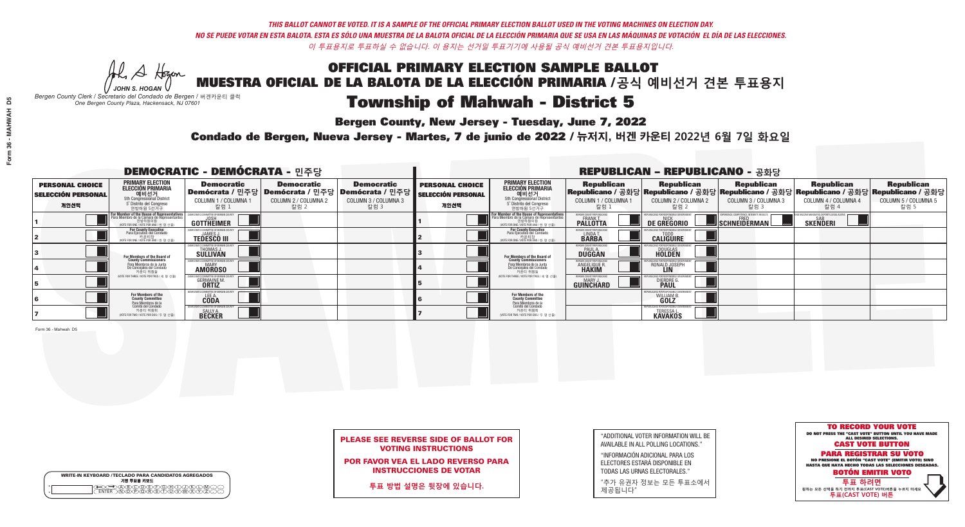Al Stogan *JOHN S. HOGAN*

| <b>WRITE-IN KEYBOARD /TECLADO PARA CANDIDATOS AGREGADOS</b><br>기명 투표용 키보드 |
|---------------------------------------------------------------------------|
|                                                                           |

# **Township of Mahwah - District 5**

**Bergen County, New Jersey - Tuesday, June 7, 2022** 

*Bergen County Clerk / Secretario del Condado de Bergen /* 버겐카운티 클럭 *One Bergen County Plaza, Hackensack, NJ 07601*



## PLEASE SEE REVERSE SIDE OF BALLOT FOR VOTING INSTRUCTIONS

POR FAVOR VEA EL LADO REVERSO PARA INSTRUCCIONES DE VOTAR

**투표 방법 설명은 뒷장에 있습니다.**

"ADDITIONAL VOTER INFORMATION WILL BE AVAILABLE IN ALL POLLING LOCATIONS."

"INFORMACIÓN ADICIONAL PARA LOS ELECTORES ESTARÁ DISPONIBLE EN TODAS LAS URNAS ELECTORALES."

"추가 유권자 정보는 모든 투표소에서 제공됩니다"

Condado de Bergen, Nueva Jersey - Martes, 7 de junio de 2022 / 뉴저지, 버겐 카운티 2022년 6월 7일 화요일 *One Bergen County Plaza, Hackensack, NJ 07601*

|                                                             |                                                                                                                                               | <b>DEMOCRATIC - DEMÓCRATA - 민주당</b>                                 |                                                                                                        |                                                   | <b>REPUBLICAN - REPUBLICANO - 공화당</b>                       |                                                                                                                                           |                                                             |                                                                    |                                                   |                                                                                                                                                |                                                   |  |
|-------------------------------------------------------------|-----------------------------------------------------------------------------------------------------------------------------------------------|---------------------------------------------------------------------|--------------------------------------------------------------------------------------------------------|---------------------------------------------------|-------------------------------------------------------------|-------------------------------------------------------------------------------------------------------------------------------------------|-------------------------------------------------------------|--------------------------------------------------------------------|---------------------------------------------------|------------------------------------------------------------------------------------------------------------------------------------------------|---------------------------------------------------|--|
| <b>PERSONAL CHOICE</b><br><b>SELECCIÓN PERSONAL</b><br>개인선택 | <b>PRIMARY ELECTION</b><br>ELECCIÓN PRIMARIA<br>예비선거<br>5th Congressional District<br>5° Distrito del Congreso<br>연방하원 5선거구                   | <b>Democratic</b><br>COLUMN 1 / COLUMNA 1<br>_칼럼 1                  | <b>Democratic</b><br>│Demócrata / 민주당│Demócrata / 민주당│Demócrata / 민주당┃<br>COLUMN 2 / COLUMNA 2<br>칼럼 2 | <b>Democratic</b><br>COLUMN 3 / COLUMNA 3<br>칼럼 3 | <b>PERSONAL CHOICE</b><br><b>SELECCIÓN PERSONAL</b><br>개인선택 | <b>PRIMARY ELECTION</b><br>ELECCIÓN PRIMARIA<br>예비선거<br>5th Congressional District<br>5 Distrito del Congreso<br>연방하원 5선거구                | <b>Republican</b><br>COLUMN 1 / COLUMNA 1<br>칼럼 :           | <b>Republican</b><br>COLUMN 2 / COLUMNA 2<br>-칼럼 2                 | <b>Republican</b><br>COLUMN 3 / COLUMNA 3<br>칼럼 3 | <b>Republican</b><br>Republicano / 공화당 Republicano / 공화당 Republicano / 공화당 Republicano / 공화당 Republicano / 공화당<br>COLUMN 4 / COLUMNA 4<br>칼럼 4 | <b>Republican</b><br>COLUMN 5 / COLUMNA 5<br>칼럼 5 |  |
|                                                             | For Member of the House of Representatives<br>Para Miembro de la Cámara de Representantes<br>연방하원의원<br>(VOTE FOR ONE / VOTE POR UNO / 한 명 선출) | COMMITTEE OF BERGEN COUN<br><b>GOTTHEIMER</b>                       |                                                                                                        |                                                   |                                                             | <b>For Member of the House of Representatives<br/>Para Miembro de la Cámara de Representantes</b><br>WOTE FOR ONE / VOTE POR UNO / 한 명 선출 | BERGEN COUNTY REPUBLICAN!<br><b>PALLOTTA</b>                | DE GREGORIO                                                        | SCHNEIDERMAN                                      | <b>SAR</b><br>SKEÑDERI                                                                                                                         |                                                   |  |
|                                                             | For County Executive<br>Para Ejecutivo del Condado<br>VOTE FOR ONE / VOTE POR UNO / 한 명 선출)                                                   | <b>TEDESCO III</b>                                                  |                                                                                                        |                                                   |                                                             | For County Executive<br>Para Ejecutivo del Condado<br>.<br>7 카운티장<br>VOTE FOR ONE / VOTE POR UNO / 한 명 선출                                 | BERGEN COUNTY REPUBLICAL<br>LINDAT.                         | <b>CALIGUIRE</b>                                                   |                                                   |                                                                                                                                                |                                                   |  |
|                                                             | <b>For Members of the Board of<br/>County Commissioners</b>                                                                                   | THOMAS J.                                                           |                                                                                                        |                                                   |                                                             | For Members of the Board of<br>County Commissioners                                                                                       | BERGEN COUNTY REPUBLICAL<br><b>PAUL A.</b><br><b>DUGGAN</b> | DOUGLAS<br>HOLDEN                                                  |                                                   |                                                                                                                                                |                                                   |  |
|                                                             | Para Miembros de la Junta<br>De Conceiales del Condado<br>카우티 위워들                                                                             | C COMMITTEE OF BERGEN COUNT<br><b>AMOROSO</b>                       |                                                                                                        |                                                   |                                                             | Para Miembros de la Junta<br>De Conceiales del Condado<br>카운티 위원들                                                                         | RGEN COUNTY REPUBLICAN<br><b>ANGELIQUE R<br/>HAKIM</b>      | RONALD JOSEPH                                                      |                                                   |                                                                                                                                                |                                                   |  |
|                                                             | NOTE FOR THREE / VOTE POR TRES / 세 명 선출)                                                                                                      | <b>GERMAINE M.</b>                                                  |                                                                                                        |                                                   |                                                             | (VOTE FOR THREE / VOTE POR TRES / 세 명 선출                                                                                                  | BERGEN COUNTY REPUBLICANS<br><b>GUINCHARD</b>               | DIERDRE                                                            |                                                   |                                                                                                                                                |                                                   |  |
|                                                             | For Members of the<br>County Committee<br>Para Miembros de l                                                                                  | OCRATIC COMMITTEE OF BERGE<br>LEE A.                                |                                                                                                        |                                                   |                                                             | For Members of the<br>County Committee                                                                                                    |                                                             | WILLIAM B.<br><b>GOLZ</b>                                          |                                                   |                                                                                                                                                |                                                   |  |
|                                                             | Comité del Condado<br>카운티 위원회<br>(VOTE FOR TWO / VOTE POR DOS / 두 명 선출)                                                                       | <b><i>AOCRATIC COMMITTEE OF BERGEN CI</i></b><br>SALLY A.<br>BECKER |                                                                                                        |                                                   |                                                             | Para Miembros de la<br>Comité del Condado<br>카운티 위원회<br>WOTE FOR TWO / VOTE POR DOS / 두 명 선출)                                             |                                                             | REPUBLICANS FOR RESPONSIBLE O<br><b>TERESSAI</b><br><b>KAVAKOS</b> |                                                   |                                                                                                                                                |                                                   |  |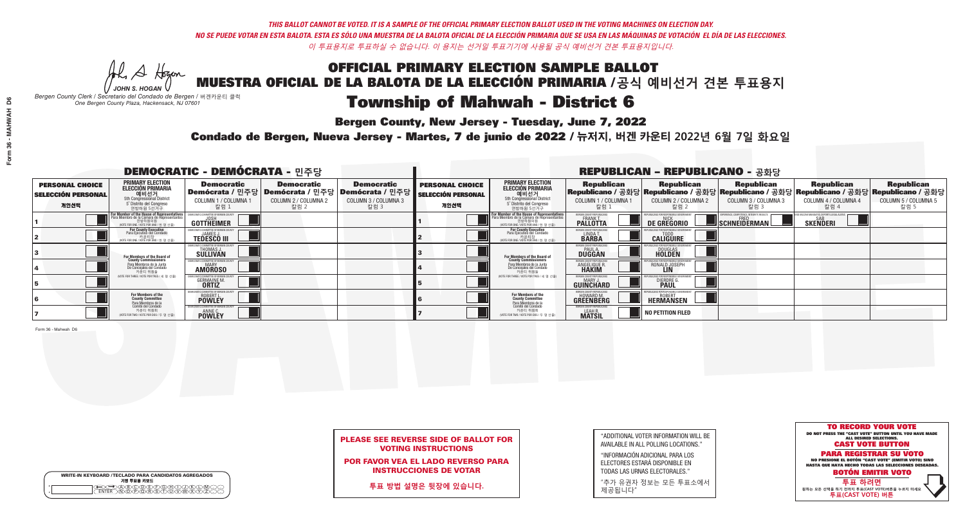W A Hogen *JOHN S. HOGAN*

| <b>WRITE-IN KEYBOARD /TECLADO PARA CANDIDATOS AGREGADOS</b><br>기명 투표용 키보드 |
|---------------------------------------------------------------------------|
| MATARAAY                                                                  |

# **Township of Mahwah - District 6**

**Bergen County, New Jersey - Tuesday, June 7, 2022** 

*Bergen County Clerk / Secretario del Condado de Bergen /* 버겐카운티 클럭 *One Bergen County Plaza, Hackensack, NJ 07601*

Condado de Bergen, Nueva Jersey - Martes, 7 de junio de 2022 / 뉴저지, 버겐 카운티 2022년 6월 7일 화요일 *One Bergen County Plaza, Hackensack, NJ 07601*



## PLEASE SEE REVERSE SIDE OF BALLOT FOR VOTING INSTRUCTIONS

POR FAVOR VEA EL LADO REVERSO PARA INSTRUCCIONES DE VOTAR

**투표 방법 설명은 뒷장에 있습니다.**

"ADDITIONAL VOTER INFORMATION WILL BE AVAILABLE IN ALL POLLING LOCATIONS."

"INFORMACIÓN ADICIONAL PARA LOS ELECTORES ESTARÁ DISPONIBLE EN TODAS LAS URNAS ELECTORALES."

"추가 유권자 정보는 모든 투표소에서 제공됩니다"

|                                                             |                                                                                                                                                      | <b>DEMOCRATIC - DEMÓCRATA - 민주당</b>                            |                                                   |                                                                                                        | <b>REPUBLICAN - REPUBLICANO - 공화당</b>                       |                                                                                                                                                |                                                             |                                                    |                                                   |                                                                                                                                                |                                                   |  |
|-------------------------------------------------------------|------------------------------------------------------------------------------------------------------------------------------------------------------|----------------------------------------------------------------|---------------------------------------------------|--------------------------------------------------------------------------------------------------------|-------------------------------------------------------------|------------------------------------------------------------------------------------------------------------------------------------------------|-------------------------------------------------------------|----------------------------------------------------|---------------------------------------------------|------------------------------------------------------------------------------------------------------------------------------------------------|---------------------------------------------------|--|
| <b>PERSONAL CHOICE</b><br><b>SELECCIÓN PERSONAL</b><br>개인선택 | <b>PRIMARY ELECTION</b><br>ELECCIÓN PRIMARIA<br>에비선거<br>5th Congressional District<br>5 <sup>*</sup> Distrito del Congreso<br>연방하원 5선거구              | <b>Democratic</b><br>COLUMN 1 / COLUMNA<br>칼럼 1                | <b>Democratic</b><br>COLUMN 2 / COLUMNA 2<br>칼럼 2 | <b>Democratic</b><br>Demócrata / 민주당 Demócrata / 민주당 Demócrata / 민주당  <br>COLUMN 3 / COLUMNA 3<br>칼럼 3 | <b>PERSONAL CHOICE</b><br><b>SELECCIÓN PERSONAL</b><br>개인선택 | <b>PRIMARY ELECTION</b><br><b>ELECCIÓN PRIMARIA</b><br>예비선거<br>5th Congressional District<br>5 <sup>*</sup> Distrito del Congreso<br>연방하원 5선거구 | <b>Republican</b><br>COLUMN 1 / COLUMNA 1<br>칼럼             | <b>Republican</b><br>COLUMN 2 / COLUMNA 2<br>-칼럼 2 | <b>Republican</b><br>COLUMN 3 / COLUMNA 3<br>칼럼 3 | <b>Republican</b><br>Republicano / 공화당 Republicano / 공화당 Republicano / 공화당 Republicano / 공화당 Republicano / 공화당<br>COLUMN 4 / COLUMNA 4<br>칼럼 4 | <b>Republican</b><br>COLUMN 5 / COLUMNA 5<br>칼럼 5 |  |
|                                                             | <b>For Member of the House of Representatives</b><br>Para Miembro de la Cámara de Representantes<br>연방하원의원<br>(VOTE FOR ONE / VOTE POR UNO / 한 명 선출) | GOTTHEIMER                                                     |                                                   |                                                                                                        |                                                             | F <mark>or Member of the House of Representative</mark><br>Para Miembro de la Cámara de Representante:<br>NOTE FOR ONE / VOTE POR UNO / 한 명 선출 | BERGEN COUNTY REPUBLICANS<br>FRANK T.<br><b>PALLOTTA</b>    | DE GREGORIO                                        | SCHNEIDERMAN                                      | <b>SKENDERI</b>                                                                                                                                |                                                   |  |
|                                                             | For County Executive<br>Para Ejecutivo del Condado<br>가운티장<br>(VOTE FOR ONE / VOTE POR UNO / 한 명 선출)                                                 | EMOCRATIC COMMITTEE OF BERGEN<br><b>TEDESCO III</b>            |                                                   |                                                                                                        |                                                             | For County Executive<br>Para Ejecutivo del Condado<br>7 카운티장<br>(VOTE FOR ONE / VOTE POR UNO / 한 명 선출)                                         | BERGEN COUNTY REPUBLICA<br>LINDA T.                         | <b>CALIGUIRE</b>                                   |                                                   |                                                                                                                                                |                                                   |  |
|                                                             | For Members of the Board of<br>County Commissioners                                                                                                  | <b>THOMAS J.</b><br><b>SULLIVAN</b>                            |                                                   |                                                                                                        |                                                             | For Members of the Board of<br>County Commissioners                                                                                            | BERGEN COUNTY REPUBLICAN<br><b>PAUL A.</b><br><b>DUGGAN</b> | <b>DOUGLAS</b>                                     |                                                   |                                                                                                                                                |                                                   |  |
|                                                             | Para Miembros de la Junta<br>De Concejales del Condado<br>카운티 위원들                                                                                    | ATIC COMMITTEE OF BERGEN COUN<br><b>MARY</b><br><b>AMOROSO</b> |                                                   |                                                                                                        |                                                             | Para Miembros de la Junta<br>De Concejales del Condado<br>카운티 위원들                                                                              | ERGEN COUNTY REPUBLICAN<br><b>ANGELIQUE R</b>               | RONALD JOSEPH<br><b>LIN</b>                        |                                                   |                                                                                                                                                |                                                   |  |
|                                                             | (VOTE FOR THREE / VOTE POR TRES / 세 명 선출)                                                                                                            | <b>GERMAINE M.</b><br><b>ORTIZ</b>                             |                                                   |                                                                                                        |                                                             | (VOTE FOR THREE / VOTE POR TRES / 세 명 선출)                                                                                                      | BERGEN COUNTY REPUBLICAN<br>MARY J<br>GUINCHARD             | <b>DIERDRE</b>                                     |                                                   |                                                                                                                                                |                                                   |  |
|                                                             | For Members of the<br>County Committee                                                                                                               | OCRATIC COMMITTEE OF BERGEN (<br><b>ROBERT L.</b>              |                                                   |                                                                                                        |                                                             | For Members of the<br>County Committee                                                                                                         | ERGEN COUNTY REPUBLICAN<br>HOWARD M.<br>GREENBERG           | <b>HERMANSEN</b>                                   |                                                   |                                                                                                                                                |                                                   |  |
|                                                             | Para Miembros de la<br>Comité del Condado<br>카운티 위원회<br>(VOTE FOR TWO / VOTE POR DOS / 두 명 선출)                                                       | TIC COMMITTEE OF BERGEN (<br><b>POWLEY</b>                     |                                                   |                                                                                                        |                                                             | Para Miembros de la<br>Comité del Condado<br>카운티 위원회<br>(VOTE FOR TWO / VOTE POR DOS / 두 명 선출)                                                 | <b>FRGEN COUNTY REPUBLICAN</b><br>LEAH R.                   | NO PETITION FILED                                  |                                                   |                                                                                                                                                |                                                   |  |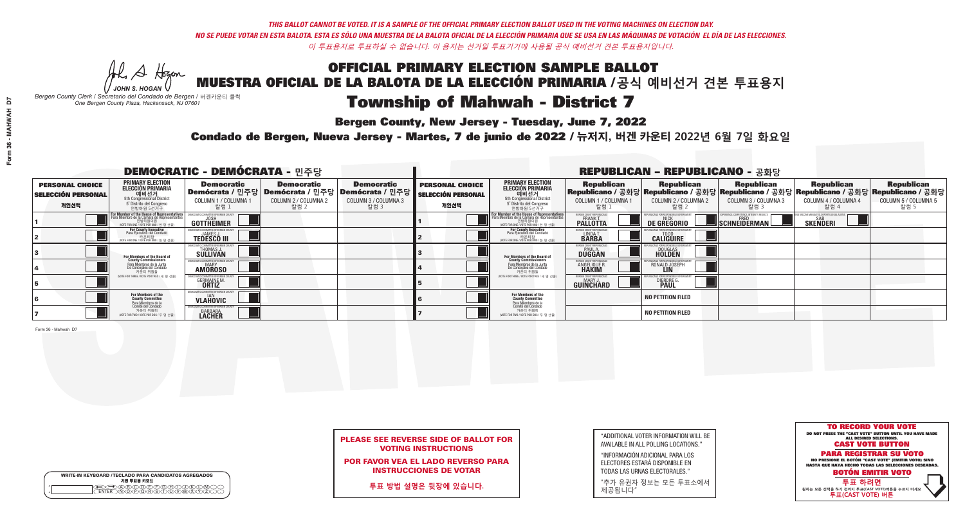Al Stogan *JOHN S. HOGAN*

| <b>WRITE-IN KEYBOARD /TECLADO PARA CANDIDATOS AGREGADOS</b><br>기명 투표용 키보드 |
|---------------------------------------------------------------------------|
|                                                                           |

# **Township of Mahwah - District 7**

**Bergen County, New Jersey - Tuesday, June 7, 2022** 

*Bergen County Clerk / Secretario del Condado de Bergen /* 버겐카운티 클럭 *One Bergen County Plaza, Hackensack, NJ 07601*

Condado de Bergen, Nueva Jersey - Martes, 7 de junio de 2022 / 뉴저지, 버겐 카운티 2022년 6월 7일 화요일 *One Bergen County Plaza, Hackensack, NJ 07601*



## PLEASE SEE REVERSE SIDE OF BALLOT FOR VOTING INSTRUCTIONS

POR FAVOR VEA EL LADO REVERSO PARA INSTRUCCIONES DE VOTAR

**투표 방법 설명은 뒷장에 있습니다.**

| "ADDITIONAL VOTER INFORMATION WILL BE |
|---------------------------------------|
| AVAILABLE IN ALL POLLING LOCATIONS."  |
|                                       |

"INFORMACIÓN ADICIONAL PARA LOS ELECTORES ESTARÁ DISPONIBLE EN TODAS LAS URNAS ELECTORALES."

"추가 유권자 정보는 모든 투표소에서 제공됩니다"

|                                                             |                                                                                                                                               | <b>DEMOCRATIC - DEMÓCRATA - 민주당</b>                            |                                                   |                                                                                                        |                                                             |                                                                                                                                                           |                                                             | <b>REPUBLICAN - REPUBLICANO - 공화당</b>              |                                                   |                                                                                                                                                |                                                   |
|-------------------------------------------------------------|-----------------------------------------------------------------------------------------------------------------------------------------------|----------------------------------------------------------------|---------------------------------------------------|--------------------------------------------------------------------------------------------------------|-------------------------------------------------------------|-----------------------------------------------------------------------------------------------------------------------------------------------------------|-------------------------------------------------------------|----------------------------------------------------|---------------------------------------------------|------------------------------------------------------------------------------------------------------------------------------------------------|---------------------------------------------------|
| <b>PERSONAL CHOICE</b><br><b>SELECCIÓN PERSONAL</b><br>개인선택 | <b>PRIMARY ELECTION</b><br>ELECCIÓN PRIMARIA<br>에비선거<br>5th Congressional District<br>5 <sup>*</sup> Distrito del Congreso<br>연방하원 5선거구       | <b>Democratic</b><br>COLUMN 1 / COLUMNA<br>칼럼 1                | <b>Democratic</b><br>COLUMN 2 / COLUMNA 2<br>칼럼 2 | <b>Democratic</b><br>Demócrata / 민주당 Demócrata / 민주당 Demócrata / 민주당  <br>COLUMN 3 / COLUMNA 3<br>칼럼 3 | <b>PERSONAL CHOICE</b><br><b>SELECCIÓN PERSONAL</b><br>개인선택 | <b>PRIMARY ELECTION</b><br><b>ELECCIÓN PRIMARIA</b><br>예비선거<br>5th Congressional District<br>5 <sup>*</sup> Distrito del Congreso<br>연방하원 5선거구            | <b>Republican</b><br>COLUMN 1 / COLUMNA 1<br>칼럼             | <b>Republican</b><br>COLUMN 2 / COLUMNA 2<br>-칼럼 2 | <b>Republican</b><br>COLUMN 3 / COLUMNA 3<br>칼럼 3 | <b>Republican</b><br>Republicano / 공화당 Republicano / 공화당 Republicano / 공화당 Republicano / 공화당 Republicano / 공화당<br>COLUMN 4 / COLUMNA 4<br>칼럼 4 | <b>Republican</b><br>COLUMN 5 / COLUMNA 5<br>칼럼 5 |
|                                                             | For Member of the House of Representatives<br>Para Miembro de la Cámara de Representantes<br>연방하원의원<br>(VOTE FOR ONE / VOTE POR UNO / 한 명 선출) | GOTTHEIMER                                                     |                                                   |                                                                                                        |                                                             | F <mark>or Member of the House of Representative</mark><br>Para Miembro de la Cámara de Representante:<br>연방하원의원<br>(VOTE FOR ONE / VOTE POR UNO / 한 명 선출 | BERGEN COUNTY REPUBLICANS<br>FRANK T.<br><b>PALLOTTA</b>    | DE GREGORIO                                        | SCHNEIDERMAN                                      | <b>SKENDERI</b>                                                                                                                                |                                                   |
|                                                             | For County Executive<br>Para Ejecutivo del Condado<br>, 카운티장<br>(VOTE FOR ONE / VOTE POR UNO / 한 명 선출)                                        | EMOCRATIC COMMITTEE OF BERGEN<br><b>TEDESCO III</b>            |                                                   |                                                                                                        |                                                             | For County Executive<br>Para Ejecutivo del Condado<br>7 카운티장<br>(VOTE FOR ONE / VOTE POR UNO / 한 명 선출)                                                    | BERGEN COUNTY REPUBLICA<br>LINDA T.                         | <b>CALIGUIRE</b>                                   |                                                   |                                                                                                                                                |                                                   |
|                                                             | <b>For Members of the Board of<br/>County Commissioners</b>                                                                                   | <b>THOMAS J.</b><br><b>SULLIVAN</b>                            |                                                   |                                                                                                        |                                                             | For Members of the Board of<br>County Commissioners                                                                                                       | BERGEN COUNTY REPUBLICAN<br><b>PAUL A.</b><br><b>DUGGAN</b> | <b>DOUGLAS</b>                                     |                                                   |                                                                                                                                                |                                                   |
|                                                             | Para Miembros de la Junta<br>De Concejales del Condado<br>카운티 위원들                                                                             | ATIC COMMITTEE OF BERGEN COUN<br><b>MARY</b><br><b>AMOROSO</b> |                                                   |                                                                                                        |                                                             | Para Miembros de la Junta<br>De Concejales del Condado<br>카운티 위원들                                                                                         | ERGEN COUNTY REPUBLICAN<br>ANGELIQUE R                      | RONALD JOSEPH<br><b>LIN</b>                        |                                                   |                                                                                                                                                |                                                   |
|                                                             | (VOTE FOR THREE / VOTE POR TRES / 세 명 선출)                                                                                                     | <b>GERMAINE M.</b><br><b>ORTIZ</b>                             |                                                   |                                                                                                        |                                                             | NOTE FOR THREE / VOTE POR TRES / 세 명 선출)                                                                                                                  | BERGEN COUNTY REPUBLICAN<br>MARY J.<br>GUINCHARD            | <b>DIERDRE</b>                                     |                                                   |                                                                                                                                                |                                                   |
|                                                             | For Members of the<br>County Committee                                                                                                        | <b>VLAHOVIC</b>                                                |                                                   |                                                                                                        |                                                             | For Members of the<br>County Committee                                                                                                                    |                                                             | <b>NO PETITION FILED</b>                           |                                                   |                                                                                                                                                |                                                   |
|                                                             | Para Miembros de la<br>Comité del Condado<br>카운티 위원회<br>(VOTE FOR TWO / VOTE POR DOS / 두 명 선출)                                                | IC COMMITTEE OF BERGEN (<br><b>BARBARA</b>                     |                                                   |                                                                                                        |                                                             | Para Miembros de la<br>Comité del Condado<br>카운티 위원회<br>NOTE FOR TWO / VOTE POR DOS / 두 명 선출)                                                             |                                                             | <b>NO PETITION FILED</b>                           |                                                   |                                                                                                                                                |                                                   |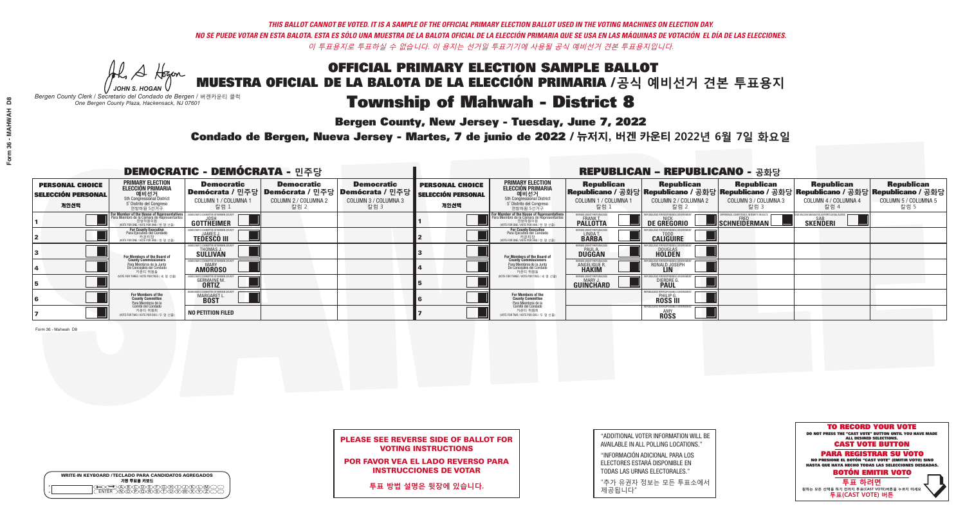W A Hogen *JOHN S. HOGAN*

| <b>WRITE-IN KEYBOARD /TECLADO PARA CANDIDATOS AGREGADOS</b><br>기명 투표용 키보드 |
|---------------------------------------------------------------------------|
| ABCOREARANT.                                                              |

# **Township of Mahwah - District 8**

**Bergen County, New Jersey - Tuesday, June 7, 2022** 

*Bergen County Clerk / Secretario del Condado de Bergen /* 버겐카운티 클럭 *One Bergen County Plaza, Hackensack, NJ 07601*

Condado de Bergen, Nueva Jersey - Martes, 7 de junio de 2022 / 뉴저지, 버겐 카운티 2022년 6월 7일 화요일 *One Bergen County Plaza, Hackensack, NJ 07601*



## PLEASE SEE REVERSE SIDE OF BALLOT FOR VOTING INSTRUCTIONS

POR FAVOR VEA EL LADO REVERSO PARA INSTRUCCIONES DE VOTAR

**투표 방법 설명은 뒷장에 있습니다.**

"ADDITIONAL VOTER INFORMATION WILL BE AVAILABLE IN ALL POLLING LOCATIONS."

"INFORMACIÓN ADICIONAL PARA LOS ELECTORES ESTARÁ DISPONIBLE EN TODAS LAS URNAS ELECTORALES."

"추가 유권자 정보는 모든 투표소에서 제공됩니다"

|                                                             |                                                                                                                                               | <b>DEMOCRATIC - DEMÓCRATA - 민주당</b>                |                                                                                                        |                                                   |                                                             |                                                                                                                                           |                                                       | <b>REPUBLICAN - REPUBLICANO - 공화당</b>                       |                                                   |                                                                                                                                                   |                                                   |
|-------------------------------------------------------------|-----------------------------------------------------------------------------------------------------------------------------------------------|----------------------------------------------------|--------------------------------------------------------------------------------------------------------|---------------------------------------------------|-------------------------------------------------------------|-------------------------------------------------------------------------------------------------------------------------------------------|-------------------------------------------------------|-------------------------------------------------------------|---------------------------------------------------|---------------------------------------------------------------------------------------------------------------------------------------------------|---------------------------------------------------|
| <b>PERSONAL CHOICE</b><br><b>SELECCIÓN PERSONAL</b><br>개인선택 | <b>PRIMARY ELECTION</b><br><b>ELECCIÓN PRIMARIA</b><br>예비선거<br>5th Congressional District<br>5° Distrito del Congreso<br>연방하원 5선거구            | <b>Democratic</b><br>COLUMN 1 / COLUMNA 1<br>_칼럼 1 | <b>Democratic</b><br>│Demócrata / 민주당│Demócrata / 민주당│Demócrata / 민주당┃<br>COLUMN 2 / COLUMNA 2<br>칼럼 2 | <b>Democratic</b><br>COLUMN 3 / COLUMNA 3<br>칼럼 3 | <b>PERSONAL CHOICE</b><br><b>SELECCIÓN PERSONAL</b><br>개인선택 | <b>PRIMARY ELECTION</b><br>ELECCIÓN PRIMARIA<br>예비선거<br>5th Congressional District<br>5 Distrito del Congreso<br>연방하원 5선거구                | <b>Republican</b><br>COLUMN 1 / COLUMNA 1<br>.칼럼 :    | <b>Republican</b><br>COLUMN 2 / COLUMNA 2<br>-칼럼 2          | <b>Republican</b><br>COLUMN 3 / COLUMNA 3<br>칼럼 3 | <b>Republican</b><br> Republicano / 공화당 Republicano / 공화당 Republicano / 공화당 Republicano / 공화당 Republicano / 공화당  <br>COLUMN 4 / COLUMNA 4<br>칼럼 4 | <b>Republican</b><br>COLUMN 5 / COLUMNA 5<br>칼럼 5 |
|                                                             | For Member of the House of Representatives<br>Para Miembro de la Cámara de Representantes<br>연방하원의원<br>(VOTE FOR ONE / VOTE POR UNO / 한 명 선출) | OMMITTEE OF BERGEN C<br><b>GOTTHEIMER</b>          |                                                                                                        |                                                   |                                                             | <b>For Member of the House of Representatives</b><br>Para Miembro de la Cámara de Representantes<br>(VOTE FOR ONE / VOTE POR UNO / 한 명 선출 | ERGEN COUNTY REPUBLICAN<br><b>PALLOTTA</b>            | DE GREGORIO                                                 | SCHNEIDERMAN                                      | <b>SKENDERI</b>                                                                                                                                   |                                                   |
|                                                             | For County Executive<br>Para Ejecutivo del Condado<br>'OTE FOR ONE / VOTE POR UNO / 한 명 선출)                                                   | <b>TEDESCO III</b>                                 |                                                                                                        |                                                   |                                                             | For County Executive<br>Para Ejecutivo del Condado<br>VOTE FOR ONE / VOTE POR UNO / 한 명 선출)                                               | BERGEN COUNTY REPUBLICA<br>LINDAT.                    | <b>CALIGUIRE</b>                                            |                                                   |                                                                                                                                                   |                                                   |
|                                                             | <b>For Members of the Board of<br/>County Commissioners</b>                                                                                   | THOMAS J.                                          |                                                                                                        |                                                   |                                                             | <b>For Members of the Board of<br/>County Commissioners</b>                                                                               | BERGEN COUNTY REPUBLICAN<br><b>DUGGAN</b>             | <b>DOUGLAS</b>                                              |                                                   |                                                                                                                                                   |                                                   |
|                                                             | Para Miembros de la Junta<br>De Conceiales del Condado<br>카우티 위원들                                                                             | CRATIC COMMITTEE OF BERGEN COUN'<br><b>AMOROSO</b> |                                                                                                        |                                                   |                                                             | Para Miembros de la Junta<br>De Concejales del Condado<br>카운티 위원들                                                                         | <b><i>RERGEN COUNTY REPUBLICAN</i></b><br>ANGELIQUE R | RONALD JOSEPH<br><b>LIN</b>                                 |                                                   |                                                                                                                                                   |                                                   |
|                                                             | (VOTE FOR THREE / VOTE POR TRES / 세 명 선출)                                                                                                     | <b>GERMAINE M.</b><br><b>ORTIZ</b>                 |                                                                                                        |                                                   |                                                             | (VOTE FOR THREE / VOTE POR TRES / 세 명 선출)                                                                                                 | BERGEN COUNTY REPUBLICAN<br>MARY J<br>GUINCHARD       | <b>DIERDRE</b>                                              |                                                   |                                                                                                                                                   |                                                   |
|                                                             | For Members of the<br>County Committee<br>Para Miembros de la<br>Comité del Condado                                                           | OCRATIC COMMITTEE OF BERGEN<br>MARGARET L          |                                                                                                        |                                                   |                                                             | For Members of the<br>County Committee                                                                                                    |                                                       | 31 ICANS FOR RESPONSIBI E G<br><b>PHILIP G.</b><br>ROSS III |                                                   |                                                                                                                                                   |                                                   |
|                                                             | 카운티 위원회<br>NOTE FOR TWO / VOTE POR DOS / 두 명 선출)                                                                                              | <b>NO PETITION FILED</b>                           |                                                                                                        |                                                   |                                                             | Para Miembros de la<br>Comité del Condado<br>카운티 위원회<br>NOTE FOR TWO / VOTE POR DOS / 두 명 선출)                                             |                                                       | REPURLICANS EOR RESPONSIBLE 6<br><b>AMY</b><br>ROSS         |                                                   |                                                                                                                                                   |                                                   |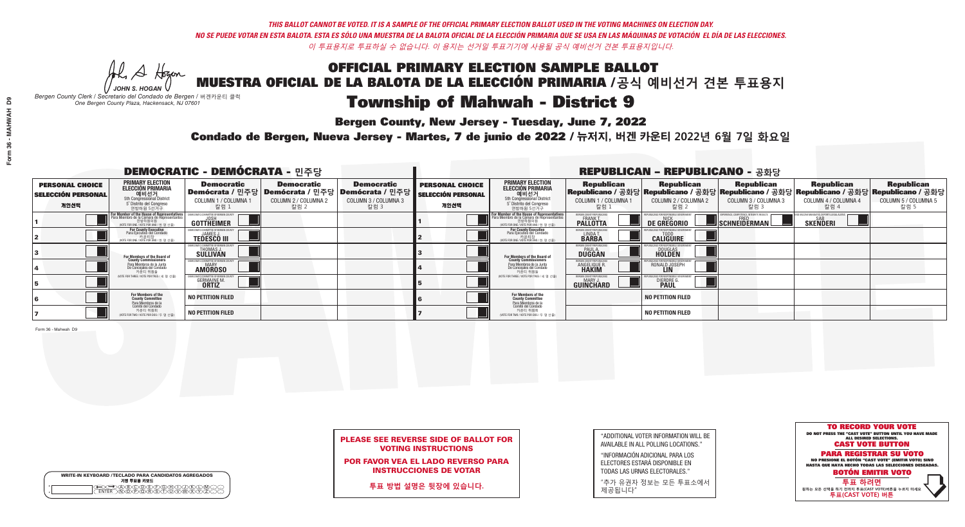Al Stogan *JOHN S. HOGAN*

|         | <b>WRITE-IN KEYBOARD /TECLADO PARA CANDIDATOS AGREGADOS</b><br>기명 투표용 키보드 |
|---------|---------------------------------------------------------------------------|
| $\circ$ | ነለችለቅ                                                                     |

# **Township of Mahwah - District 9**

**Bergen County, New Jersey - Tuesday, June 7, 2022** 

*Bergen County Clerk / Secretario del Condado de Bergen /* 버겐카운티 클럭 *One Bergen County Plaza, Hackensack, NJ 07601*

Condado de Bergen, Nueva Jersey - Martes, 7 de junio de 2022 / 뉴저지, 버겐 카운티 2022년 6월 7일 화요일 *One Bergen County Plaza, Hackensack, NJ 07601*



## PLEASE SEE REVERSE SIDE OF BALLOT FOR VOTING INSTRUCTIONS

POR FAVOR VEA EL LADO REVERSO PARA INSTRUCCIONES DE VOTAR

**투표 방법 설명은 뒷장에 있습니다.**

| "ADDITIONAL VOTER INFORMATION WILL BE |
|---------------------------------------|
| AVAILABLE IN ALL POLLING LOCATIONS."  |
|                                       |

"INFORMACIÓN ADICIONAL PARA LOS ELECTORES ESTARÁ DISPONIBLE EN TODAS LAS URNAS ELECTORALES."

"추가 유권자 정보는 모든 투표소에서 제공됩니다"

|                                                             |                                                                                                                                               | <b>DEMOCRATIC - DEMÓCRATA - 민주당</b>                   |                                                   |                                                                                                        |                                                             |                                                                                                                                                 |                                                                      | <b>REPUBLICAN - REPUBLICANO - 공화당</b>              |                                                   |                                                                                                                                                |                                                   |
|-------------------------------------------------------------|-----------------------------------------------------------------------------------------------------------------------------------------------|-------------------------------------------------------|---------------------------------------------------|--------------------------------------------------------------------------------------------------------|-------------------------------------------------------------|-------------------------------------------------------------------------------------------------------------------------------------------------|----------------------------------------------------------------------|----------------------------------------------------|---------------------------------------------------|------------------------------------------------------------------------------------------------------------------------------------------------|---------------------------------------------------|
| <b>PERSONAL CHOICE</b><br><b>SELECCIÓN PERSONAL</b><br>개인선택 | <b>PRIMARY ELECTION</b><br>ELECCIÓN PRIMARIA<br>예비선거<br><sub>5th Congressional District</sub><br>5° Distrito del Congreso<br>연방하원 5선거구        | <b>Democratic</b><br>COLUMN 1 / COLUMNA 1<br>_ 칼럼 1   | <b>Democratic</b><br>COLUMN 2 / COLUMNA 2<br>칼럼 2 | <b>Democratic</b><br>│Demócrata / 민주당│Demócrata / 민주당│Demócrata / 민주당│<br>COLUMN 3 / COLUMNA 3<br>칼럼 3 | <b>PERSONAL CHOICE</b><br><b>SELECCIÓN PERSONAL</b><br>개인선택 | <b>PRIMARY ELECTION</b><br>ELECCIÓN PRIMARIA<br>예비선거<br>5th Congressional District<br>5 Distrito del Congreso<br>연방하원 5선거구                      | <b>Republican</b><br>COLUMN 1 / COLUMNA 1<br>,칼럼 1                   | <b>Republican</b><br>COLUMN 2 / COLUMNA 2<br>-칼럼 2 | <b>Republican</b><br>COLUMN 3 / COLUMNA 3<br>칼럼 3 | <b>Republican</b><br>Republicano / 공화당 Republicano / 공화당 Republicano / 공화당 Republicano / 공화당 Republicano / 공화당<br>COLUMN 4 / COLUMNA 4<br>칼럼 4 | <b>Republican</b><br>COLUMN 5 / COLUMNA 5<br>칼럼 5 |
|                                                             | For Member of the House of Representatives<br>Para Miembro de la Cámara de Representantes<br>연방하원의원<br>(VOTE FOR ONE / VOTE POR UNO / 한 명 선출) | COMMITTEE OF BERGEN C<br><b>GOTTHEIMER</b>            |                                                   |                                                                                                        |                                                             | F <mark>or Member of the House of Representatives</mark><br>Para Miembro de la Cámara de Representantes<br>WOTE FOR ONE / VOTE POR UNO / 한 명 선출 | BERGEN COUNTY REPUBLICAN<br><b>PALLOTTA</b>                          | DE GREGORIO                                        | SCHNEIDERMAN                                      | <b>SAR</b><br>SKEÑDERI                                                                                                                         |                                                   |
|                                                             | For County Executive<br>Para Ejecutivo del Condado<br>/OTE FOR ONE / VOTE POR UNO / 한 명 선출)                                                   | FMOCRATIC COMMITTEE OF BERGEN C<br><b>TEDESCO III</b> |                                                   |                                                                                                        |                                                             | For County Executive<br>Para Ejecutivo del Condado<br>. 카운티장<br>(VOTE FOR ONE / VOTE POR UNO / 한 명 선출                                           | BERGEN COUNTY REPUBLICAL<br>LINDAT.                                  | <b>CALIGUIRE</b>                                   |                                                   |                                                                                                                                                |                                                   |
|                                                             | For Members of the Board of<br>County Commissioners                                                                                           | THOMAS J.                                             |                                                   |                                                                                                        |                                                             | For Members of the Board of<br>County Commissioners                                                                                             | BERGEN COUNTY REPUBLICAL<br><b>DUGGAN</b>                            | <b>DOUGLAS</b>                                     |                                                   |                                                                                                                                                |                                                   |
|                                                             | Para Miembros de la Junta<br>De Conceiales del Condado<br>카운티 위원들                                                                             | TIC COMMITTEE OF BERGEN COUNT<br><b>AMOROSO</b>       |                                                   |                                                                                                        |                                                             | Para Miembros de la Junta<br>De Concejales del Condado<br>카운티 위원들                                                                               | <b>ERGEN COUNTY REPUBLICAN</b><br><b>ANGELIQUE R</b><br><b>HAKIM</b> | RONALD JOSEPH<br><b>LIN</b>                        |                                                   |                                                                                                                                                |                                                   |
|                                                             | NOTE FOR THREE / VOTE POR TRES / 세 명 선출)                                                                                                      | <b>GERMAINE M</b><br><b>ORTIZ</b>                     |                                                   |                                                                                                        |                                                             | (VOTE FOR THREE / VOTE POR TRES / 세 명 선출)                                                                                                       | BERGEN COUNTY REPUBLICANS<br><b>GUINCHARD</b>                        | DIERDRE                                            |                                                   |                                                                                                                                                |                                                   |
|                                                             | For Members of the<br>County Committee<br>Para Miembros de la<br>Comité del Condado                                                           | <b>NO PETITION FILED</b>                              |                                                   |                                                                                                        |                                                             | For Members of the<br>County Committee                                                                                                          |                                                                      | <b>NO PETITION FILED</b>                           |                                                   |                                                                                                                                                |                                                   |
|                                                             | 카운티 위원회<br>NOTE FOR TWO / VOTE POR DOS / 두 명 선출)                                                                                              | <b>NO PETITION FILED</b>                              |                                                   |                                                                                                        |                                                             | Para Miembros de la<br>Comité del Condado<br>카운티 위원회<br>NOTE FOR TWO / VOTE POR DOS / 두 명 선출)                                                   |                                                                      | <b>NO PETITION FILED</b>                           |                                                   |                                                                                                                                                |                                                   |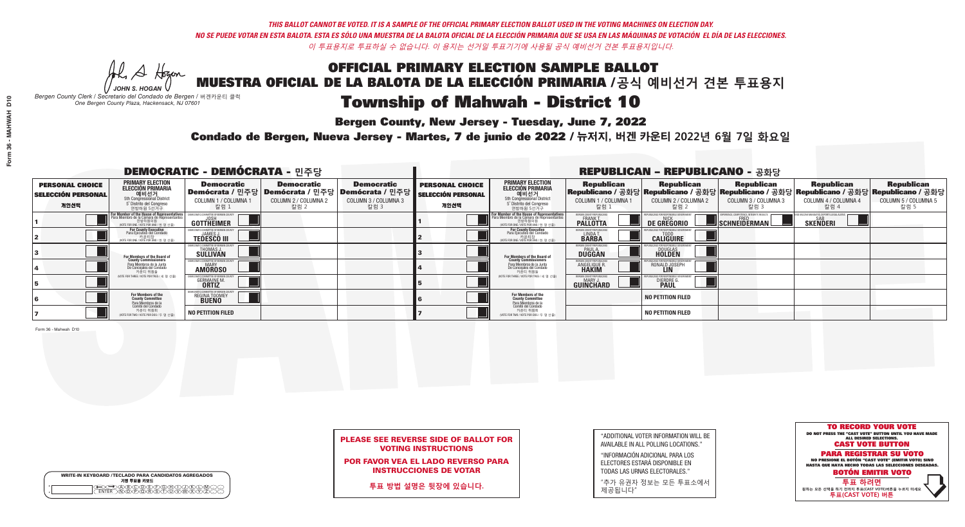# OFFICIAL PRIMARY ELECTION SAMPLE BALLOT MUESTRA OFICIAL DE LA BALOTA DE LA ELECCIÓN PRIMARIA /**공식 예비선거 견본 투표용지** Township of Mahwah - District 10

**Bergen County, New Jersey - Tuesday, June 7, 2022** 

Al Stogan *JOHN S. HOGAN*

| <b>WRITE-IN KEYBOARD /TECLADO PARA CANDIDATOS AGREGADOS</b><br>기명 투표용 키보드 |
|---------------------------------------------------------------------------|
| мH                                                                        |

*Bergen County Clerk / Secretario del Condado de Bergen /* 버겐카운티 클럭 *One Bergen County Plaza, Hackensack, NJ 07601*

Condado de Bergen, Nueva Jersey - Martes, 7 de junio de 2022 / 뉴저지, 버겐 카운티 2022년 6월 7일 화요일 *One Bergen County Plaza, Hackensack, NJ 07601*



## PLEASE SEE REVERSE SIDE OF BALLOT FOR VOTING INSTRUCTIONS

POR FAVOR VEA EL LADO REVERSO PARA INSTRUCCIONES DE VOTAR

**투표 방법 설명은 뒷장에 있습니다.**

| "ADDITIONAL VOTER INFORMATION WILL BE |
|---------------------------------------|
| AVAILABLE IN ALL POLLING LOCATIONS."  |
|                                       |

"INFORMACIÓN ADICIONAL PARA LOS ELECTORES ESTARÁ DISPONIBLE EN TODAS LAS URNAS ELECTORALES."

"추가 유권자 정보는 모든 투표소에서 제공됩니다"

|                                                             |                                                                                                                                               | <b>DEMOCRATIC - DEMÓCRATA - 민주당</b>                                   |                                                   |                                                                                                              |                                                             |                                                                                                                                         |                                                                       | <b>REPUBLICAN - REPUBLICANO - 공화당</b>                                                                                                             |                                                   |                                                   |                                                   |
|-------------------------------------------------------------|-----------------------------------------------------------------------------------------------------------------------------------------------|-----------------------------------------------------------------------|---------------------------------------------------|--------------------------------------------------------------------------------------------------------------|-------------------------------------------------------------|-----------------------------------------------------------------------------------------------------------------------------------------|-----------------------------------------------------------------------|---------------------------------------------------------------------------------------------------------------------------------------------------|---------------------------------------------------|---------------------------------------------------|---------------------------------------------------|
| <b>PERSONAL CHOICE</b><br><b>SELECCIÓN PERSONAL</b><br>개인선택 | PRIMARY ELECTION<br><b>ELECCIÓN PRIMARIA</b><br>5th Congressional District<br>5 <sup>o</sup> Distrito del Congreso<br>연방하원 5선거구               | <b>Democratic</b><br>COLUMN 1 / COLUMNA 1<br>칼럼 1                     | <b>Democratic</b><br>COLUMN 2 / COLUMNA 2<br>칼럼 2 | <b>Democratic</b><br>  Demócrata / 민주당   Demócrata / 민주당   Demócrata / 민주당  <br>COLUMN 3 / COLUMNA 3<br>칼럼 3 | <b>PERSONAL CHOICE</b><br><b>SELECCIÓN PERSONAL</b><br>개인선택 | <b>PRIMARY ELECTION</b><br><b>ELECCIÓN PRIMARIA</b><br>예비선거<br>5th Congressional District<br>5 Distrito del Congreso<br>연방하원 5선거구       | <b>Republican</b><br>COLUMN 1 / COLUMNA 1<br>.칼럼 :                    | <b>Republican</b><br> Republicano / 공화당 Republicano / 공화당 Republicano / 공화당 Republicano / 공화당 Republicano / 공화당 <br>COLUMN 2 / COLUMNA 2<br>-칼럼 2 | <b>Republican</b><br>COLUMN 3 / COLUMNA 3<br>칼럼 3 | <b>Republican</b><br>COLUMN 4 / COLUMNA 4<br>칼럼 4 | <b>Republican</b><br>COLUMN 5 / COLUMNA 5<br>칼럼 5 |
|                                                             | For Member of the House of Representatives<br>Para Miembro de la Cámara de Representantes<br>연방하원의원<br>(VOTE FOR ONE / VOTE POR UNO / 한 명 선출) | <b>GOTTHEIMER</b>                                                     |                                                   |                                                                                                              |                                                             | <b>For Member of the House of Representative</b><br>Para Miembro de la Cámara de Representante<br>(VOTE FOR ONE / VOTE POR UNO / 한 명 선출 | BERGEN COUNTY REPUBLICAN<br><b>PALLOTTA</b>                           | DE GREGORIO                                                                                                                                       | SCHNEIDERMAN                                      | <b>SKENDERI</b>                                   |                                                   |
|                                                             | For County Executive<br>Para Ejecutivo del Condado<br>/OTE FOR ONE / VOTE POR UNO / 한 명 선출)                                                   | <b>TEDESCO III</b>                                                    |                                                   |                                                                                                              |                                                             | For County Executive<br>Para Ejecutivo del Condado<br>7 카운티장<br>(VOTE FOR ONE / VOTE POR UNO / 한 명 선출)                                  | BERGEN COUNTY REPUBLICA<br>LINDA T.                                   | <b>CALIGUIRE</b>                                                                                                                                  |                                                   |                                                   |                                                   |
|                                                             | For Members of the Board of<br>County Commissioners                                                                                           | EMOCRATIC COMMITTEE OF BERGENTIERT THOMAS J.<br>THOMAS J.<br>SULLIVAN |                                                   |                                                                                                              |                                                             | For Members of the Board o<br>County Commissioners                                                                                      | <b>BERGEN COUNTY REPUBLICAN<br/>PAUL A.<br/>DUGGAN</b>                | <b>DOUGLAS</b>                                                                                                                                    |                                                   |                                                   |                                                   |
|                                                             | Para Miembros de la Junta<br>De Concejales del Condado<br>카우티 위원들                                                                             | ATIC COMMITTEE OF BERGEN CO<br><b>AMOROSO</b>                         |                                                   |                                                                                                              |                                                             | Para Miembros de la Junta<br>De Concejales del Condado<br>카운티 위원들                                                                       | <b>'ERGEN COUNTY REPUBLICAN</b><br><b>ANGELIQUE R</b><br><b>HAKIM</b> | RONALD JOSEPH                                                                                                                                     |                                                   |                                                   |                                                   |
|                                                             | NOTE FOR THREE / VOTE POR TRES / 세 명 선출)                                                                                                      | <b>GERMAINE M.</b>                                                    |                                                   |                                                                                                              |                                                             | (VOTE FOR THREE / VOTE POR TRES / 세 명 선출)                                                                                               | ERGEN COUNTY REPUBLICAN<br>MARY J.<br><b>GUINCHARD</b>                | DIERDRE G                                                                                                                                         |                                                   |                                                   |                                                   |
|                                                             | For Members of the<br>County Committee<br>Para Miembros de la<br>Comité del Condado                                                           | IOCRATIC COMMITTEE OF BERGEN<br>REGINA TOOMEY                         |                                                   |                                                                                                              |                                                             | For Members of the<br>County Committee                                                                                                  |                                                                       | <b>NO PETITION FILED</b>                                                                                                                          |                                                   |                                                   |                                                   |
|                                                             | 카운티 위원회<br>NOTE FOR TWO / VOTE POR DOS / 두 명 선출)                                                                                              | <b>NO PETITION FILED</b>                                              |                                                   |                                                                                                              |                                                             | Para Miembros de la<br>Comité del Condado<br>카운티 위원회<br>NOTE FOR TWO / VOTE POR DOS / 두 명 선출)                                           |                                                                       | <b>NO PETITION FILED</b>                                                                                                                          |                                                   |                                                   |                                                   |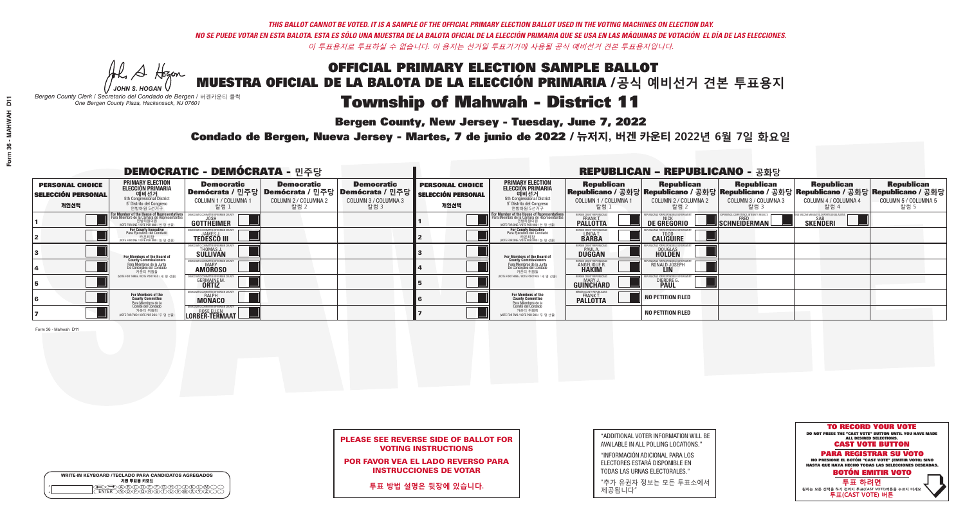## OFFICIAL PRIMARY ELECTION SAMPLE BALLOT MUESTRA OFICIAL DE LA BALOTA DE LA ELECCIÓN PRIMARIA /**공식 예비선거 견본 투표용지** Township of Mahwah - District 11

**Bergen County, New Jersey - Tuesday, June 7, 2022** 

He A Hogan *JOHN S. HOGAN*

| <b>WRITE-IN KEYBOARD /TECLADO PARA CANDIDATOS AGREGADOS</b><br>기명 투표용 키보드 |
|---------------------------------------------------------------------------|
| YBYCYDÆYFYGYHYTYJYK                                                       |

*Bergen County Clerk / Secretario del Condado de Bergen /* 버겐카운티 클럭 *One Bergen County Plaza, Hackensack, NJ 07601*

Condado de Bergen, Nueva Jersey - Martes, 7 de junio de 2022 / 뉴저지, 버겐 카운티 2022년 6월 7일 화요일 *One Bergen County Plaza, Hackensack, NJ 07601*



## PLEASE SEE REVERSE SIDE OF BALLOT FOR VOTING INSTRUCTIONS

POR FAVOR VEA EL LADO REVERSO PARA INSTRUCCIONES DE VOTAR

**투표 방법 설명은 뒷장에 있습니다.**

| 7                  |  |
|--------------------|--|
| Form 36 - Mahwah D |  |
|                    |  |

| "ADDITIONAL VOTER INFORMATION WILL BE |
|---------------------------------------|
| AVAILABLE IN ALL POLLING LOCATIONS."  |
| $\overline{\phantom{a}}$              |

"INFORMACIÓN ADICIONAL PARA LOS ELECTORES ESTARÁ DISPONIBLE EN TODAS LAS URNAS ELECTORALES."

"추가 유권자 정보는 모든 투표소에서 제공됩니다"

| <b>DEMOCRATIC - DEMÓCRATA - 민주당</b>                         |                                                                                                                                               |                                                          |                                                                                      |                                                                      |                                                             |                                                                                                                                                | <b>REPUBLICAN - REPUBLICANO - 공화당</b>                           |                                                    |                                                   |                                                                                                                                                   |                                                   |
|-------------------------------------------------------------|-----------------------------------------------------------------------------------------------------------------------------------------------|----------------------------------------------------------|--------------------------------------------------------------------------------------|----------------------------------------------------------------------|-------------------------------------------------------------|------------------------------------------------------------------------------------------------------------------------------------------------|-----------------------------------------------------------------|----------------------------------------------------|---------------------------------------------------|---------------------------------------------------------------------------------------------------------------------------------------------------|---------------------------------------------------|
| <b>PERSONAL CHOICE</b><br><b>SELECCIÓN PERSONAL</b><br>개인선택 | <b>PRIMARY ELECTION</b><br>ELECCIÓN PRIMARIA<br>에비선거<br>5th Congressional District<br>5 <sup>t</sup> Distrito del Congreso<br>연방하원 5선거구       | <b>Democratic</b><br>COLUMN 1 / COLUMNA 1<br>칼럼 1        | <b>Democratic</b><br>Demócrata / 민주당 Demócrata / 민주당<br>COLUMN 2 / COLUMNA 2<br>칼럼 2 | <b>Democratic</b><br>Demócrata / 민주당<br>COLUMN 3 / COLUMNA 3<br>칼럼 3 | <b>PERSONAL CHOICE</b><br><b>SELECCIÓN PERSONAL</b><br>개인선택 | <b>PRIMARY ELECTION</b><br><b>ELECCIÓN PRIMARIA</b><br>예비선거<br>5th Congressional District<br>5 <sup>*</sup> Distrito del Congreso<br>연방하원 5선거구 | <b>Republican</b><br>COLUMN 1 / COLUMNA 1<br>.칼럼 :              | <b>Republican</b><br>COLUMN 2 / COLUMNA 2<br>-칼럼 2 | <b>Republican</b><br>COLUMN 3 / COLUMNA 3<br>칼럼 3 | <b>Republican</b><br> Republicano / 공화당 Republicano / 공화당 Republicano / 공화당 Republicano / 공화당 Republicano / 공화당  <br>COLUMN 4 / COLUMNA 4<br>칼럼 4 | <b>Republican</b><br>COLUMN 5 / COLUMNA 5<br>칼럼 5 |
|                                                             | For Member of the House of Representatives<br>Para Miembro de la Cámara de Representantes<br>연방하원의원<br>(VOTE FOR ONE / VOTE POR UNO / 한 명 선출) | <b>GOTTHEIMER</b>                                        |                                                                                      |                                                                      |                                                             | <b>For Member of the House of Representatives</b><br>Para Miembro de la Cámara de Representantes<br>(VOTE FOR ONE / VOTE POR UNO / 한 명 선출      | BERGEN COUNTY REPUBLICA<br>FRANK T.<br><b>PALLOTTA</b>          | DE GREGORIO                                        | SCHNEIDERMAN                                      | <b>SKENDERI</b>                                                                                                                                   |                                                   |
|                                                             | For County Executive<br>Para Ejecutivo del Condado<br>/OTE FOR ONE / VOTE POR UNO / 한 명 선출)                                                   | <b>TEDESCO III</b>                                       |                                                                                      |                                                                      |                                                             | For County Executive<br>Para Ejecutivo del Condado<br>7 카운티장<br>(VOTE FOR ONE / VOTE POR UNO / 한 명 선출)                                         | BERGEN COUNTY REPUBLICA<br>LINDA T.                             | <b>CALIGUIRE</b>                                   |                                                   |                                                                                                                                                   |                                                   |
|                                                             | For Members of the Board of<br>County Commissioners                                                                                           | EMOCRATIC COMMITTEE OF BERGEN (<br>THOMAS J.<br>SULLIVAN |                                                                                      |                                                                      |                                                             | <b>For Members of the Board of County Commissioners</b>                                                                                        | <b>BERGEN COUNTY REPUBLICAN<br/>PAUL A.<br/>DUGGAN</b>          | <b>DOUGLAS</b>                                     |                                                   |                                                                                                                                                   |                                                   |
|                                                             | Para Miembros de la Junta<br>De Concejales del Condado<br>카우티 위원들                                                                             | CRATIC COMMITTEE OF BERGEN CO<br><b>AMOROSO</b>          |                                                                                      |                                                                      |                                                             | Para Miembros de la Junta<br>De Concejales del Condado<br>카운티 위원들                                                                              | <b>'ERGEN COUNTY REPUBLICAN</b><br><b>ANGELIQUE R<br/>HAKIM</b> | RONALD JOSEPH                                      |                                                   |                                                                                                                                                   |                                                   |
|                                                             | NOTE FOR THREE / VOTE POR TRES / 세 명 선출)                                                                                                      | <b>GERMAINE M.</b>                                       |                                                                                      |                                                                      |                                                             | (VOTE FOR THREE / VOTE POR TRES / 세 명 선출)                                                                                                      | ERGEN COUNTY REPUBLICAN<br>MARY J<br>GUINCHARD                  | <b>DIERDRE</b>                                     |                                                   |                                                                                                                                                   |                                                   |
|                                                             | For Members of the<br>County Committee<br>Para Miembros de la                                                                                 | IOCRATIC COMMITTEE OF BERGEN (<br><b>MONACO</b>          |                                                                                      |                                                                      |                                                             | For Members of the<br>County Committee                                                                                                         | ERGEN COUNTY REPUBLICANS<br><b>PALLOTTA</b>                     | NO PETITION FILED                                  |                                                   |                                                                                                                                                   |                                                   |
|                                                             | cha mismos de de<br>Comité del Condado<br>카운티 위원회<br>NOTE FOR TWO / VOTE POR DOS / 두 명 선출)                                                    | <b>EDITER TERMANT</b>                                    |                                                                                      |                                                                      |                                                             | Para Miembros de la<br>Comité del Condado<br>카운티 위원회<br>NOTE FOR TWO / VOTE POR DOS / 두 명 선출)                                                  |                                                                 | <b>NO PETITION FILED</b>                           |                                                   |                                                                                                                                                   |                                                   |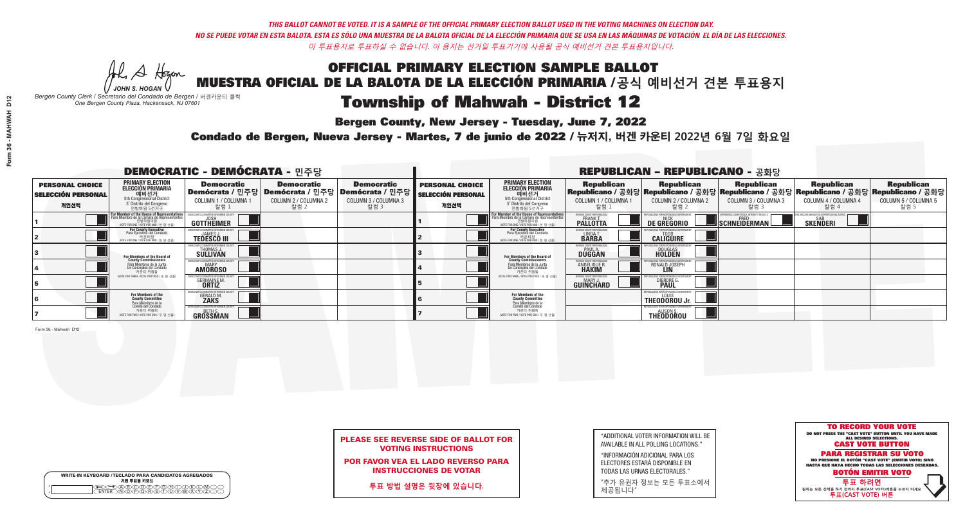He A Hogan *JOHN S. HOGAN*

# Township of Mahwah - District 12

**Bergen County, New Jersey - Tuesday, June 7, 2022** 

*Bergen County Clerk / Secretario del Condado de Bergen /* 버겐카운티 클럭 *One Bergen County Plaza, Hackensack, NJ 07601*

WRITE-IN KEYBOARD /TECLADO PARA CANDIDATOS AGREGADOS<br>기명 투표용 키보드

 $\bigoplus \bigoplus \mathbb{A} \oplus \mathbb{C} \oplus \mathbb{C} \oplus \mathbb{C} \oplus \mathbb{C} \oplus \mathbb{C} \cup \mathbb{W} \oplus \mathbb{Z} \oplus \mathbb{Z} \oplus \mathbb{C}$ 



## PLEASE SEE REVERSE SIDE OF BALLOT FOR VOTING INSTRUCTIONS

POR FAVOR VEA EL LADO REVERSO PARA INSTRUCCIONES DE VOTAR

**투표 방법 설명은 뒷장에 있습니다.**

"ADDITIONAL VOTER INFORMATION WILL BE AVAILABLE IN ALL POLLING LOCATIONS."

"INFORMACIÓN ADICIONAL PARA LOS ELECTORES ESTARÁ DISPONIBLE EN TODAS LAS URNAS ELECTORALES."

"추가 유권자 정보는 모든 투표소에서 제공됩니다"

Condado de Bergen, Nueva Jersey - Martes, 7 de junio de 2022 / 뉴저지, 버겐 카운티 2022년 6월 7일 화요일 *One Bergen County Plaza, Hackensack, NJ 07601*

| <b>DEMOCRATIC - DEMÓCRATA - 민주당</b>                         |                                                                                                                                                     |                                                                  |                                                   |                                                                                                            |                                                             |                                                                                                                                                           | <b>REPUBLICAN - REPUBLICANO - 공화당</b>                      |                                                                                                                                                   |                                                   |                                                               |                                                   |
|-------------------------------------------------------------|-----------------------------------------------------------------------------------------------------------------------------------------------------|------------------------------------------------------------------|---------------------------------------------------|------------------------------------------------------------------------------------------------------------|-------------------------------------------------------------|-----------------------------------------------------------------------------------------------------------------------------------------------------------|------------------------------------------------------------|---------------------------------------------------------------------------------------------------------------------------------------------------|---------------------------------------------------|---------------------------------------------------------------|---------------------------------------------------|
| <b>PERSONAL CHOICE</b><br><b>SELECCIÓN PERSONAL</b><br>개인선택 | PRIMARY ELECTION<br><b>ELECCIÓN PRIMARIA</b><br>5th Congressional District<br>5 <sup>o</sup> Distrito del Congreso<br>연방하원 5선거구                     | <b>Democratic</b><br>COLUMN 1 / COLUMNA 1<br>_ 칼럼 1              | <b>Democratic</b><br>COLUMN 2 / COLUMNA 2<br>칼럼 2 | <b>Democratic</b><br>Demócrata / 민주당   Demócrata / 민주당   Demócrata / 민주당  <br>COLUMN 3 / COLUMNA 3<br>칼럼 3 | <b>PERSONAL CHOICE</b><br><b>SELECCIÓN PERSONAL</b><br>개인선택 | <b>PRIMARY ELECTION</b><br><b>ELECCIÓN PRIMARIA</b><br>예비선거<br>5th Congressional District<br>5 <sup>*</sup> Distrito del Congreso<br>연방하원 5선거구            | <b>Republican</b><br>COLUMN 1 / COLUMNA 1<br>칼럼            | <b>Republican</b><br> Republicano / 공화당 Republicano / 공화당 Republicano / 공화당 Republicano / 공화당 Republicano / 공화당 <br>COLUMN 2 / COLUMNA 2<br>-칼럼 2 | <b>Republican</b><br>COLUMN 3 / COLUMNA 3<br>칼럼 3 | <b>Republican</b><br>COLUMN 4 / COLUMNA 4<br>칼럼 4             | <b>Republican</b><br>COLUMN 5 / COLUMNA 5<br>칼럼 5 |
|                                                             | <b>For Member of the House of Representative</b><br>Para Miembro de la Cámara de Representante:<br>연방하원의원<br>(VOTE FOR ONE / VOTE POR UNO / 한 명 선출) | <b>GOTTHEIMER</b>                                                |                                                   |                                                                                                            |                                                             | F <mark>or Member of the House of Representative</mark><br>Para Miembro de la Cámara de Representante:<br>연방하원의원<br>(VOTE FOR ONE / VOTE POR UNO / 한 명 선출 | BERGEN COUNTY REPUBLICANS<br>FRANK T.<br><b>PALLOTTA</b>   | DE GREGORIO                                                                                                                                       | SCHNEIDERMAN                                      | ND VACCINE MANDATES. DEPORT ILLEGAL ALIEN:<br><b>SKENDERI</b> |                                                   |
|                                                             | For County Executive<br>Para Ejecutivo del Condado<br>, 카운티장<br>(VOTE FOR ONE / VOTE POR UNO / 한 명 선출)                                              | EMOCRATIC COMMITTEE OF BERGEN<br><b>TEDESCO III</b>              |                                                   |                                                                                                            |                                                             | <b>For County Executive</b><br>Para Ejecutivo del Condado<br>7 카운티장<br>(VOTE FOR ONE / VOTE POR UNO / 한 명 선출)                                             | BERGEN COUNTY REPUBLICA<br>LINDA T.                        | <b>CALIGUIRE</b>                                                                                                                                  |                                                   |                                                               |                                                   |
|                                                             | For Members of the Board of<br>County Commissioners                                                                                                 | <b>THOMAS J.</b><br><b>SULLIVAN</b>                              |                                                   |                                                                                                            |                                                             | For Members of the Board of<br>County Commissioners                                                                                                       | ERGEN COUNTY REPUBLICAN<br><b>PAUL A.</b><br><b>DUGGAN</b> | <b>DOUGLAS</b>                                                                                                                                    |                                                   |                                                               |                                                   |
|                                                             | Para Miembros de la Junta<br>De Concejales del Condado<br>카우티 위원들                                                                                   | RATIC COMMITTEE OF BERGEN COUNT<br><b>MARY</b><br><b>AMOROSO</b> |                                                   |                                                                                                            |                                                             | Para Miembros de la Junta<br>De Concejales del Condado<br>카운티 위원들                                                                                         | ERGEN COUNTY REPUBLICAN<br>ANGELIQUE R                     | RONALD JOSEPH                                                                                                                                     |                                                   |                                                               |                                                   |
|                                                             | NOTF FOR THREE / VOTE POR TRES / 세 명 선출)                                                                                                            | <b>GERMAINE M.</b>                                               |                                                   |                                                                                                            |                                                             | (VOTE FOR THREE / VOTE POR TRES / 세 명 선출)                                                                                                                 | BERGEN COUNTY REPUBLICAN<br>MARY J.<br>GUINCHARD           | <b>DIERDRE</b>                                                                                                                                    |                                                   |                                                               |                                                   |
|                                                             | For Members of the<br>County Committee<br>Para Miembros de la<br>Comité del Condado                                                                 | <b>GERALD M</b><br><b>ZAKS</b>                                   |                                                   |                                                                                                            |                                                             | For Members of the<br>County Committee                                                                                                                    |                                                            | THEODOROU Jr.                                                                                                                                     |                                                   |                                                               |                                                   |
|                                                             | 카운티 위원회<br>(VOTE FOR TWO / VOTE POR DOS / 두 명 선출)                                                                                                   | CRATIC COMMITTEE OF BERGEN C<br><b>GROSSMAN</b>                  |                                                   |                                                                                                            |                                                             | Para Miembros de la<br>Comité del Condado<br>카운티 위원회<br>NOTE FOR TWO / VOTE POR DOS / 두 명 선출)                                                             |                                                            | FPUBLICANS FOR RESPONSIBLE GOVERNMENT<br>THEODOROU                                                                                                |                                                   |                                                               |                                                   |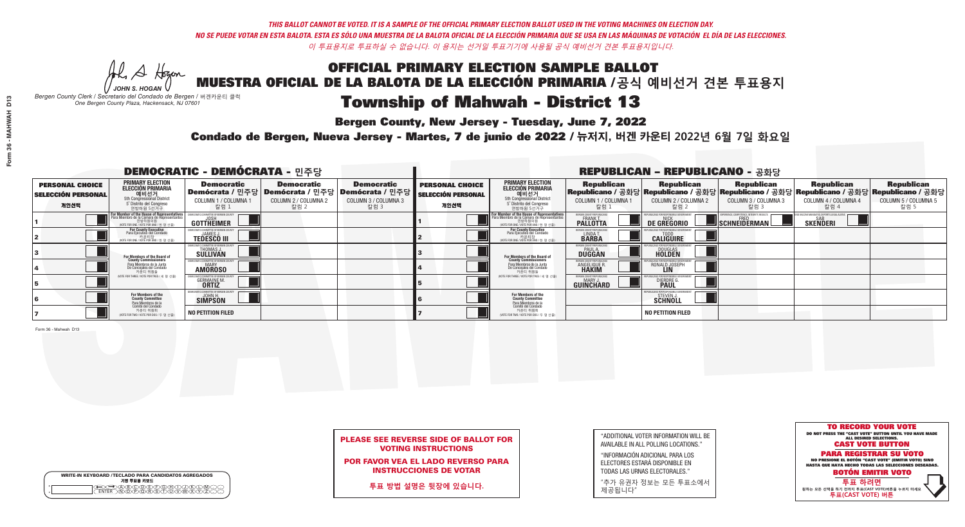## OFFICIAL PRIMARY ELECTION SAMPLE BALLOT MUESTRA OFICIAL DE LA BALOTA DE LA ELECCIÓN PRIMARIA /**공식 예비선거 견본 투표용지** Township of Mahwah - District 13

**Bergen County, New Jersey - Tuesday, June 7, 2022** 

Al Stogan *JOHN S. HOGAN*

| <b>WRITE-IN KEYBOARD /TECLADO PARA CANDIDATOS AGREGADOS</b><br>기명 투표용 키보드 |
|---------------------------------------------------------------------------|
| мH                                                                        |

*Bergen County Clerk / Secretario del Condado de Bergen /* 버겐카운티 클럭 *One Bergen County Plaza, Hackensack, NJ 07601*

Condado de Bergen, Nueva Jersey - Martes, 7 de junio de 2022 / 뉴저지, 버겐 카운티 2022년 6월 7일 화요일 *One Bergen County Plaza, Hackensack, NJ 07601*



## PLEASE SEE REVERSE SIDE OF BALLOT FOR VOTING INSTRUCTIONS

POR FAVOR VEA EL LADO REVERSO PARA INSTRUCCIONES DE VOTAR

**투표 방법 설명은 뒷장에 있습니다.**

| "ADDITIONAL VOTER INFORMATION WILL BE |
|---------------------------------------|
| AVAILABLE IN ALL POLLING LOCATIONS."  |
|                                       |

"INFORMACIÓN ADICIONAL PARA LOS ELECTORES ESTARÁ DISPONIBLE EN TODAS LAS URNAS ELECTORALES."

"추가 유권자 정보는 모든 투표소에서 제공됩니다"

| <b>DEMOCRATIC - DEMÓCRATA - 민주당</b>                         |                                                                                                                                               |                                                             |                                                   |                                                                                                      |                                                             |                                                                                                                                                |                                                             | <b>REPUBLICAN - REPUBLICANO - 공화당</b>                                                                                                           |                                                   |                                                   |                                                   |
|-------------------------------------------------------------|-----------------------------------------------------------------------------------------------------------------------------------------------|-------------------------------------------------------------|---------------------------------------------------|------------------------------------------------------------------------------------------------------|-------------------------------------------------------------|------------------------------------------------------------------------------------------------------------------------------------------------|-------------------------------------------------------------|-------------------------------------------------------------------------------------------------------------------------------------------------|---------------------------------------------------|---------------------------------------------------|---------------------------------------------------|
| <b>PERSONAL CHOICE</b><br><b>SELECCIÓN PERSONAL</b><br>개인선택 | PRIMARY ELECTION<br><b>ELECCIÓN PRIMARIA</b><br>5th Congressional District<br>5 <sup>°</sup> Distrito del Congreso<br>연방하원 5선거구               | <b>Democratic</b><br>COLUMN 1 / COLUMNA 1<br>칼럼 1           | <b>Democratic</b><br>COLUMN 2 / COLUMNA 2<br>칼럼 2 | <b>Democratic</b><br>Demócrata / 민주당 Demócrata / 민주당 Demócrata / 민주당<br>COLUMN 3 / COLUMNA 3<br>칼럼 3 | <b>PERSONAL CHOICE</b><br><b>SELECCIÓN PERSONAL</b><br>개인선택 | <b>PRIMARY ELECTION</b><br><b>ELECCIÓN PRIMARIA</b><br>예비선거<br>5th Congressional District<br>5 <sup>*</sup> Distrito del Congreso<br>연방하원 5선거구 | <b>Republican</b><br>COLUMN 1 / COLUMNA 1<br>칼럼             | <b>Republican</b><br>Republicano / 공화당 Republicano / 공화당 Republicano / 공화당 Republicano / 공화당 Republicano / 공화당<br>COLUMN 2 / COLUMNA 2<br>-칼럼 2 | <b>Republican</b><br>COLUMN 3 / COLUMNA 3<br>칼럼 3 | <b>Republican</b><br>COLUMN 4 / COLUMNA 4<br>칼럼 4 | <b>Republican</b><br>COLUMN 5 / COLUMNA 5<br>칼럼 5 |
|                                                             | For Member of the House of Representatives<br>Para Miembro de la Cámara de Representantes<br>연방하원의원<br>(VOTE FOR ONE / VOTE POR UNO / 한 명 선출) | <b>GOTTHEIMER</b>                                           |                                                   |                                                                                                      |                                                             | <b>For Member of the House of Representative</b><br>Para Miembro de la Cámara de Representante<br>NOTE FOR ONE / VOTE POR UNO / 한 명 선출         | ERGEN COUNTY REPUBLICAN<br><b>PALLOTTA</b>                  | DE GREGORIO                                                                                                                                     | SCHNEIDERMAN                                      | <b>SKENDERI</b>                                   |                                                   |
|                                                             | For County Executive<br>Para Ejecutivo del Condado<br>VOTE FOR ONE / VOTE POR UNO / 한 명 선출)                                                   | <b>TEDESCO III</b>                                          |                                                   |                                                                                                      |                                                             | For County Executive<br>Para Ejecutivo del Condado<br>(VOTE FOR ONE / VOTE POR UNO / 한 명 선출)                                                   | BERGEN COUNTY REPUBLICA<br>LINDA T.                         | <b>CALIGUIRE</b>                                                                                                                                |                                                   |                                                   |                                                   |
|                                                             | For Members of the Board of<br>County Commissioners                                                                                           | EMOCRATIC COMMITTEE OF BERGEN C<br>THOMAS J.<br>SULLIVAN    |                                                   |                                                                                                      |                                                             | For Members of the Board of<br>County Commissioners                                                                                            | BERGEN COUNTY REPUBLICAN<br><b>PAUL A.</b><br><b>DUGGAN</b> | <b>DOUGLAS</b>                                                                                                                                  |                                                   |                                                   |                                                   |
|                                                             | Para Miembros de la Junta<br>De Concejales del Condado<br>카운티 위원들                                                                             | <b>IOCRATIC COMMITTEE OF BERGEN COUNT</b><br><b>AMOROSO</b> |                                                   |                                                                                                      |                                                             | Para Miembros de la Junta<br>De Concejales del Condado<br>카운티 위원들                                                                              | ERGEN COUNTY REPUBLICAN<br><b>ANGELIQUE R</b>               | RONALD JOSEPH                                                                                                                                   |                                                   |                                                   |                                                   |
|                                                             | NOTE FOR THREE / VOTE POR TRES / 세 명 선출)                                                                                                      | <b>GERMAINE M.</b>                                          |                                                   |                                                                                                      |                                                             | (VOTE FOR THREE / VOTE POR TRES / 세 명 선출)                                                                                                      | BERGEN COUNTY REPUBLICAN<br>MARY J<br>GUINCHARD             | <b>DIERDRE</b>                                                                                                                                  |                                                   |                                                   |                                                   |
|                                                             | For Members of the<br>County Committee<br>Para Miembros de la<br>Comité del Condado                                                           | MOCRATIC COMMITTEE OF BERGEN COU<br><b>SIMPSON</b>          |                                                   |                                                                                                      |                                                             | For Members of the<br>County Committee                                                                                                         |                                                             | 'IBLICANS FOR RESPONSIBLE GOVE<br><b>STEVEN J.</b><br><b>SCHNOLL</b>                                                                            |                                                   |                                                   |                                                   |
|                                                             | 카운티 위원회<br>NOTE FOR TWO / VOTE POR DOS / 두 명 선출)                                                                                              | <b>NO PETITION FILED</b>                                    |                                                   |                                                                                                      |                                                             | Para Miembros de la<br>Comité del Condado<br>카운티 위원회<br>NOTE FOR TWO / VOTE POR DOS / 두 명 선출)                                                  |                                                             | <b>NO PETITION FILED</b>                                                                                                                        |                                                   |                                                   |                                                   |